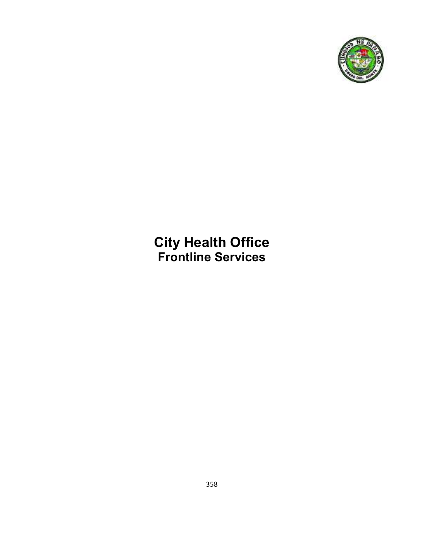

**City Health Office Frontline Services**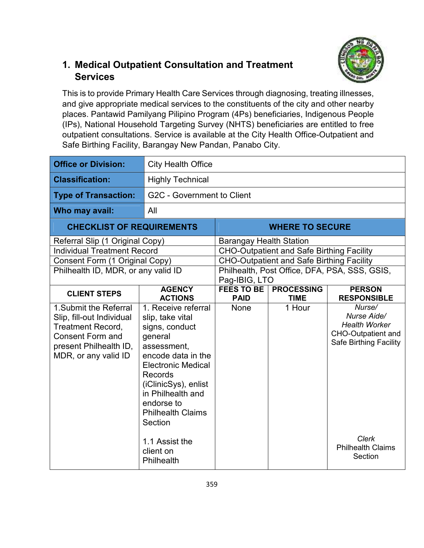#### **1. Medical Outpatient Consultation and Treatment Services**



This is to provide Primary Health Care Services through diagnosing, treating illnesses, and give appropriate medical services to the constituents of the city and other nearby places. Pantawid Pamilyang Pilipino Program (4Ps) beneficiaries, Indigenous People (IPs), National Household Targeting Survey (NHTS) beneficiaries are entitled to free outpatient consultations. Service is available at the City Health Office-Outpatient and Safe Birthing Facility, Barangay New Pandan, Panabo City.

| <b>Office or Division:</b>                                                                                                                                   | <b>City Health Office</b>                                                                                                                                                                                                                           |                                                                |                                                  |                                                                                                             |  |
|--------------------------------------------------------------------------------------------------------------------------------------------------------------|-----------------------------------------------------------------------------------------------------------------------------------------------------------------------------------------------------------------------------------------------------|----------------------------------------------------------------|--------------------------------------------------|-------------------------------------------------------------------------------------------------------------|--|
| <b>Classification:</b>                                                                                                                                       | <b>Highly Technical</b>                                                                                                                                                                                                                             |                                                                |                                                  |                                                                                                             |  |
| <b>Type of Transaction:</b>                                                                                                                                  | G2C - Government to Client                                                                                                                                                                                                                          |                                                                |                                                  |                                                                                                             |  |
| Who may avail:                                                                                                                                               | All                                                                                                                                                                                                                                                 |                                                                |                                                  |                                                                                                             |  |
| <b>CHECKLIST OF REQUIREMENTS</b>                                                                                                                             |                                                                                                                                                                                                                                                     |                                                                | <b>WHERE TO SECURE</b>                           |                                                                                                             |  |
| Referral Slip (1 Original Copy)                                                                                                                              |                                                                                                                                                                                                                                                     | <b>Barangay Health Station</b>                                 |                                                  |                                                                                                             |  |
| <b>Individual Treatment Record</b>                                                                                                                           |                                                                                                                                                                                                                                                     |                                                                | <b>CHO-Outpatient and Safe Birthing Facility</b> |                                                                                                             |  |
| Consent Form (1 Original Copy)                                                                                                                               |                                                                                                                                                                                                                                                     |                                                                | <b>CHO-Outpatient and Safe Birthing Facility</b> |                                                                                                             |  |
| Philhealth ID, MDR, or any valid ID                                                                                                                          |                                                                                                                                                                                                                                                     | Philhealth, Post Office, DFA, PSA, SSS, GSIS,<br>Pag-IBIG, LTO |                                                  |                                                                                                             |  |
| <b>CLIENT STEPS</b>                                                                                                                                          | <b>AGENCY</b><br><b>ACTIONS</b>                                                                                                                                                                                                                     | <b>FEES TO BE</b><br><b>PAID</b>                               | <b>PROCESSING</b><br><b>TIME</b>                 | <b>PERSON</b><br><b>RESPONSIBLE</b>                                                                         |  |
| 1. Submit the Referral<br>Slip, fill-out Individual<br><b>Treatment Record,</b><br><b>Consent Form and</b><br>present Philhealth ID,<br>MDR, or any valid ID | 1. Receive referral<br>slip, take vital<br>signs, conduct<br>general<br>assessment,<br>encode data in the<br><b>Electronic Medical</b><br>Records<br>(iClinicSys), enlist<br>in Philhealth and<br>endorse to<br><b>Philhealth Claims</b><br>Section | <b>None</b>                                                    | 1 Hour                                           | Nurse/<br>Nurse Aide/<br><b>Health Worker</b><br><b>CHO-Outpatient and</b><br><b>Safe Birthing Facility</b> |  |
|                                                                                                                                                              | 1.1 Assist the<br>client on<br>Philhealth                                                                                                                                                                                                           |                                                                |                                                  | <b>Clerk</b><br><b>Philhealth Claims</b><br>Section                                                         |  |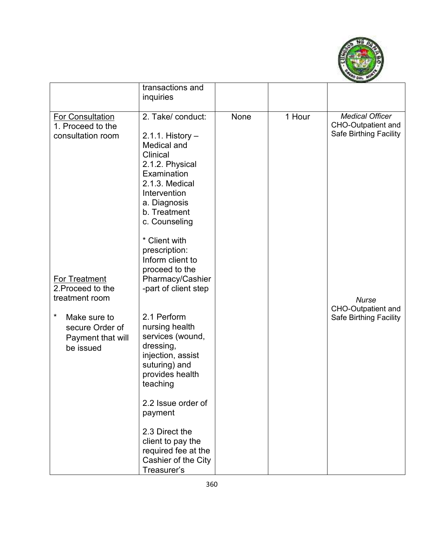

|                                                                                                                                              | transactions and<br>inquiries                                                                                                                                                                               |             |        |                                                                               |
|----------------------------------------------------------------------------------------------------------------------------------------------|-------------------------------------------------------------------------------------------------------------------------------------------------------------------------------------------------------------|-------------|--------|-------------------------------------------------------------------------------|
| For Consultation<br>1. Proceed to the<br>consultation room                                                                                   | 2. Take/ conduct:<br>$2.1.1$ . History $-$<br>Medical and<br>Clinical<br>2.1.2. Physical<br>Examination<br>2.1.3. Medical<br>Intervention<br>a. Diagnosis<br>b. Treatment<br>c. Counseling<br>* Client with | <b>None</b> | 1 Hour | <b>Medical Officer</b><br><b>CHO-Outpatient and</b><br>Safe Birthing Facility |
| <b>For Treatment</b><br>2. Proceed to the<br>treatment room<br>$^\star$<br>Make sure to<br>secure Order of<br>Payment that will<br>be issued | prescription:<br>Inform client to<br>proceed to the<br>Pharmacy/Cashier<br>-part of client step<br>2.1 Perform<br>nursing health<br>services (wound,<br>dressing,<br>injection, assist<br>suturing) and     |             |        | <b>Nurse</b><br><b>CHO-Outpatient and</b><br>Safe Birthing Facility           |
|                                                                                                                                              | provides health<br>teaching<br>2.2 Issue order of<br>payment<br>2.3 Direct the<br>client to pay the<br>required fee at the<br>Cashier of the City<br>Treasurer's                                            |             |        |                                                                               |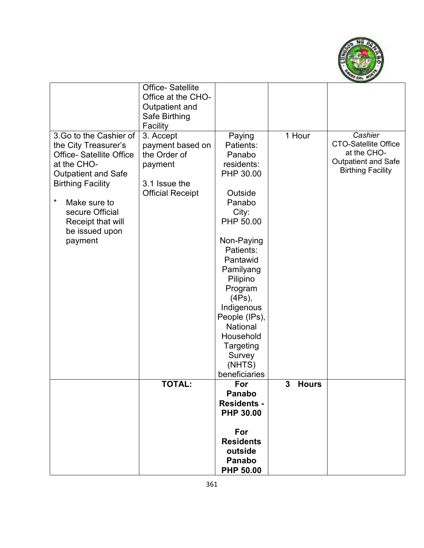

|                                 | <b>Office-Satellite</b> |                    |                   |                             |
|---------------------------------|-------------------------|--------------------|-------------------|-----------------------------|
|                                 | Office at the CHO-      |                    |                   |                             |
|                                 | Outpatient and          |                    |                   |                             |
|                                 | Safe Birthing           |                    |                   |                             |
|                                 | Facility                |                    |                   |                             |
| 3. Go to the Cashier of         | 3. Accept               | Paying             | 1 Hour            | Cashier                     |
| the City Treasurer's            | payment based on        | Patients:          |                   | <b>CTO-Satellite Office</b> |
| <b>Office- Satellite Office</b> | the Order of            | Panabo             |                   | at the CHO-                 |
| at the CHO-                     | payment                 | residents:         |                   | <b>Outpatient and Safe</b>  |
| <b>Outpatient and Safe</b>      |                         | PHP 30.00          |                   | <b>Birthing Facility</b>    |
| <b>Birthing Facility</b>        | 3.1 Issue the           |                    |                   |                             |
|                                 | <b>Official Receipt</b> | Outside            |                   |                             |
| *<br>Make sure to               |                         | Panabo             |                   |                             |
| secure Official                 |                         | City:              |                   |                             |
| Receipt that will               |                         | PHP 50.00          |                   |                             |
| be issued upon                  |                         |                    |                   |                             |
| payment                         |                         | Non-Paying         |                   |                             |
|                                 |                         | Patients:          |                   |                             |
|                                 |                         | Pantawid           |                   |                             |
|                                 |                         | Pamilyang          |                   |                             |
|                                 |                         | Pilipino           |                   |                             |
|                                 |                         | Program            |                   |                             |
|                                 |                         | (4Ps),             |                   |                             |
|                                 |                         | Indigenous         |                   |                             |
|                                 |                         | People (IPs),      |                   |                             |
|                                 |                         | National           |                   |                             |
|                                 |                         | Household          |                   |                             |
|                                 |                         | Targeting          |                   |                             |
|                                 |                         | Survey             |                   |                             |
|                                 |                         | (NHTS)             |                   |                             |
|                                 |                         | beneficiaries      |                   |                             |
|                                 | <b>TOTAL:</b>           | For                | 3<br><b>Hours</b> |                             |
|                                 |                         | Panabo             |                   |                             |
|                                 |                         | <b>Residents -</b> |                   |                             |
|                                 |                         | <b>PHP 30.00</b>   |                   |                             |
|                                 |                         |                    |                   |                             |
|                                 |                         | For                |                   |                             |
|                                 |                         | <b>Residents</b>   |                   |                             |
|                                 |                         | outside            |                   |                             |
|                                 |                         | <b>Panabo</b>      |                   |                             |
|                                 |                         | <b>PHP 50.00</b>   |                   |                             |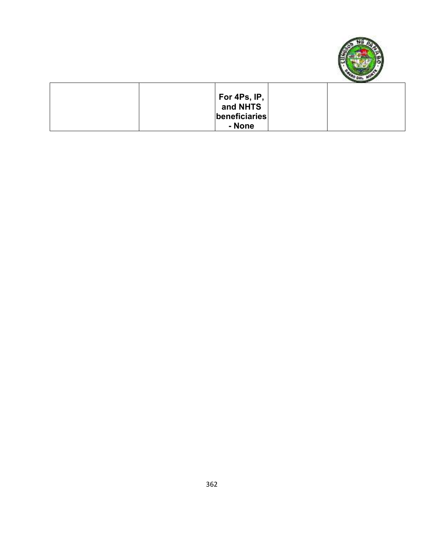

|               | ______ |
|---------------|--------|
| For 4Ps, IP,  |        |
| and NHTS      |        |
| beneficiaries |        |
| - None        |        |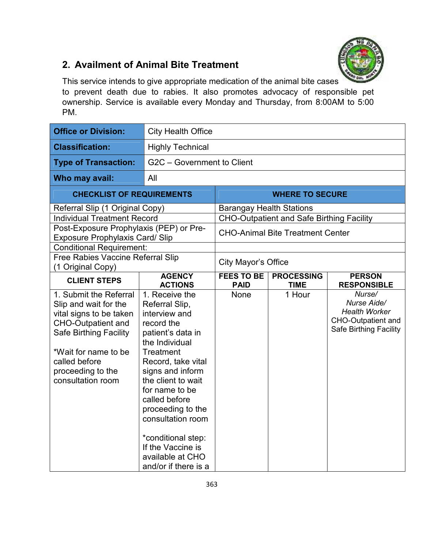

#### **2. Availment of Animal Bite Treatment**

This service intends to give appropriate medication of the animal bite cases to prevent death due to rabies. It also promotes advocacy of responsible pet ownership. Service is available every Monday and Thursday, from 8:00AM to 5:00 PM.

| <b>Office or Division:</b>                                                                                                                                                                                                  | <b>City Health Office</b>                                                                                                                                                                                                                                                                                                                                      |                                                                                                                                |                        |                                                                                                             |  |
|-----------------------------------------------------------------------------------------------------------------------------------------------------------------------------------------------------------------------------|----------------------------------------------------------------------------------------------------------------------------------------------------------------------------------------------------------------------------------------------------------------------------------------------------------------------------------------------------------------|--------------------------------------------------------------------------------------------------------------------------------|------------------------|-------------------------------------------------------------------------------------------------------------|--|
| <b>Classification:</b>                                                                                                                                                                                                      | <b>Highly Technical</b>                                                                                                                                                                                                                                                                                                                                        |                                                                                                                                |                        |                                                                                                             |  |
| <b>Type of Transaction:</b>                                                                                                                                                                                                 | G2C - Government to Client                                                                                                                                                                                                                                                                                                                                     |                                                                                                                                |                        |                                                                                                             |  |
| Who may avail:                                                                                                                                                                                                              | All                                                                                                                                                                                                                                                                                                                                                            |                                                                                                                                |                        |                                                                                                             |  |
| <b>CHECKLIST OF REQUIREMENTS</b>                                                                                                                                                                                            |                                                                                                                                                                                                                                                                                                                                                                |                                                                                                                                | <b>WHERE TO SECURE</b> |                                                                                                             |  |
| Referral Slip (1 Original Copy)<br><b>Individual Treatment Record</b><br>Post-Exposure Prophylaxis (PEP) or Pre-                                                                                                            |                                                                                                                                                                                                                                                                                                                                                                | <b>Barangay Health Stations</b><br><b>CHO-Outpatient and Safe Birthing Facility</b><br><b>CHO-Animal Bite Treatment Center</b> |                        |                                                                                                             |  |
| <b>Exposure Prophylaxis Card/ Slip</b>                                                                                                                                                                                      |                                                                                                                                                                                                                                                                                                                                                                |                                                                                                                                |                        |                                                                                                             |  |
| <b>Conditional Requirement:</b><br><b>Free Rabies Vaccine Referral Slip</b><br>(1 Original Copy)                                                                                                                            |                                                                                                                                                                                                                                                                                                                                                                | City Mayor's Office                                                                                                            |                        |                                                                                                             |  |
| <b>CLIENT STEPS</b>                                                                                                                                                                                                         | <b>AGENCY</b><br><b>ACTIONS</b>                                                                                                                                                                                                                                                                                                                                | <b>FEES TO BE</b><br><b>PROCESSING</b><br><b>PERSON</b><br><b>PAID</b><br><b>TIME</b><br><b>RESPONSIBLE</b>                    |                        |                                                                                                             |  |
| 1. Submit the Referral<br>Slip and wait for the<br>vital signs to be taken<br><b>CHO-Outpatient and</b><br><b>Safe Birthing Facility</b><br>*Wait for name to be<br>called before<br>proceeding to the<br>consultation room | 1. Receive the<br>Referral Slip,<br>interview and<br>record the<br>patient's data in<br>the Individual<br><b>Treatment</b><br>Record, take vital<br>signs and inform<br>the client to wait<br>for name to be<br>called before<br>proceeding to the<br>consultation room<br>*conditional step:<br>If the Vaccine is<br>available at CHO<br>and/or if there is a | None                                                                                                                           | 1 Hour                 | Nurse/<br>Nurse Aide/<br><b>Health Worker</b><br><b>CHO-Outpatient and</b><br><b>Safe Birthing Facility</b> |  |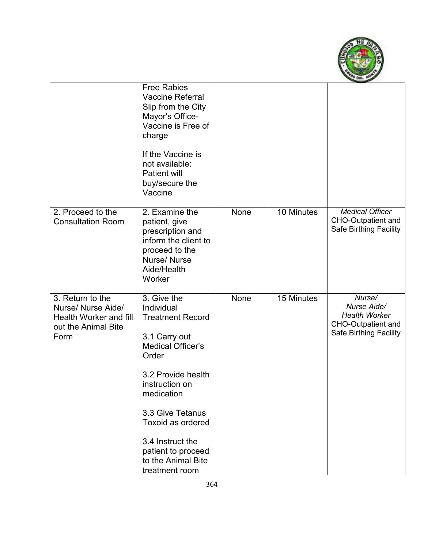

|                                                                                                 | <b>Free Rabies</b><br><b>Vaccine Referral</b><br>Slip from the City<br>Mayor's Office-<br>Vaccine is Free of<br>charge<br>If the Vaccine is<br>not available:<br><b>Patient will</b><br>buy/secure the<br>Vaccine                                                                           |      |            |                                                                                               |
|-------------------------------------------------------------------------------------------------|---------------------------------------------------------------------------------------------------------------------------------------------------------------------------------------------------------------------------------------------------------------------------------------------|------|------------|-----------------------------------------------------------------------------------------------|
| 2. Proceed to the<br><b>Consultation Room</b>                                                   | 2. Examine the<br>patient, give<br>prescription and<br>inform the client to<br>proceed to the<br>Nurse/Nurse<br>Aide/Health<br>Worker                                                                                                                                                       | None | 10 Minutes | <b>Medical Officer</b><br><b>CHO-Outpatient and</b><br>Safe Birthing Facility                 |
| 3. Return to the<br>Nurse/ Nurse Aide/<br>Health Worker and fill<br>out the Animal Bite<br>Form | 3. Give the<br>Individual<br><b>Treatment Record</b><br>3.1 Carry out<br><b>Medical Officer's</b><br>Order<br>3.2 Provide health<br>instruction on<br>medication<br>3.3 Give Tetanus<br>Toxoid as ordered<br>3.4 Instruct the<br>patient to proceed<br>to the Animal Bite<br>treatment room | None | 15 Minutes | Nurse/<br>Nurse Aide/<br><b>Health Worker</b><br>CHO-Outpatient and<br>Safe Birthing Facility |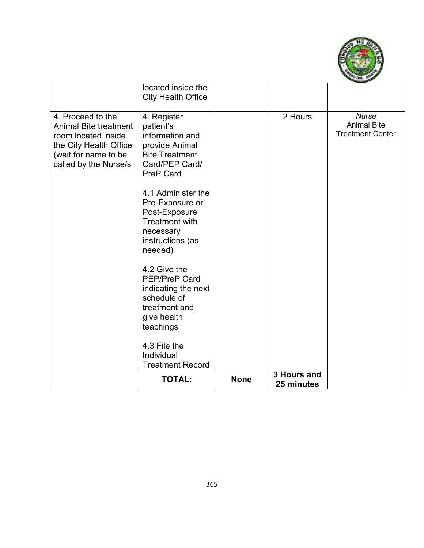

|                                                                                                                                                     | located inside the<br><b>City Health Office</b>                                                                              |             |                           |                                                               |
|-----------------------------------------------------------------------------------------------------------------------------------------------------|------------------------------------------------------------------------------------------------------------------------------|-------------|---------------------------|---------------------------------------------------------------|
| 4. Proceed to the<br><b>Animal Bite treatment</b><br>room located inside<br>the City Health Office<br>(wait for name to be<br>called by the Nurse/s | 4. Register<br>patient's<br>information and<br>provide Animal<br><b>Bite Treatment</b><br>Card/PEP Card/<br><b>PreP Card</b> |             | 2 Hours                   | <b>Nurse</b><br><b>Animal Bite</b><br><b>Treatment Center</b> |
|                                                                                                                                                     | 4.1 Administer the<br>Pre-Exposure or<br>Post-Exposure<br><b>Treatment with</b><br>necessary<br>instructions (as<br>needed)  |             |                           |                                                               |
|                                                                                                                                                     | 4.2 Give the<br><b>PEP/PreP Card</b><br>indicating the next<br>schedule of<br>treatment and<br>give health<br>teachings      |             |                           |                                                               |
|                                                                                                                                                     | 4.3 File the<br>Individual<br><b>Treatment Record</b>                                                                        |             |                           |                                                               |
|                                                                                                                                                     | <b>TOTAL:</b>                                                                                                                | <b>None</b> | 3 Hours and<br>25 minutes |                                                               |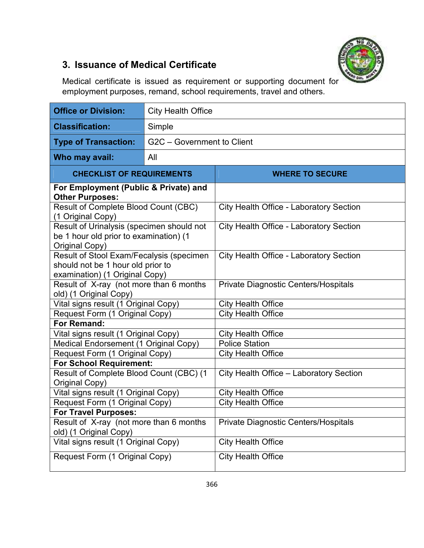

## **3. Issuance of Medical Certificate**

Medical certificate is issued as requirement or supporting document for employment purposes, remand, school requirements, travel and others.

| <b>Office or Division:</b>                                                                                      | <b>City Health Office</b>  |                                                |  |  |  |  |
|-----------------------------------------------------------------------------------------------------------------|----------------------------|------------------------------------------------|--|--|--|--|
| <b>Classification:</b>                                                                                          | Simple                     |                                                |  |  |  |  |
| <b>Type of Transaction:</b>                                                                                     | G2C - Government to Client |                                                |  |  |  |  |
| Who may avail:                                                                                                  | All                        |                                                |  |  |  |  |
| <b>CHECKLIST OF REQUIREMENTS</b>                                                                                |                            | <b>WHERE TO SECURE</b>                         |  |  |  |  |
| For Employment (Public & Private) and<br><b>Other Purposes:</b>                                                 |                            |                                                |  |  |  |  |
| Result of Complete Blood Count (CBC)<br>(1 Original Copy)                                                       |                            | <b>City Health Office - Laboratory Section</b> |  |  |  |  |
| Result of Urinalysis (specimen should not<br>be 1 hour old prior to examination) (1<br>Original Copy)           |                            | <b>City Health Office - Laboratory Section</b> |  |  |  |  |
| Result of Stool Exam/Fecalysis (specimen<br>should not be 1 hour old prior to<br>examination) (1 Original Copy) |                            | <b>City Health Office - Laboratory Section</b> |  |  |  |  |
| Result of X-ray (not more than 6 months<br>old) (1 Original Copy)                                               |                            | <b>Private Diagnostic Centers/Hospitals</b>    |  |  |  |  |
| Vital signs result (1 Original Copy)                                                                            |                            | <b>City Health Office</b>                      |  |  |  |  |
| Request Form (1 Original Copy)                                                                                  |                            | <b>City Health Office</b>                      |  |  |  |  |
| For Remand:                                                                                                     |                            |                                                |  |  |  |  |
| Vital signs result (1 Original Copy)                                                                            |                            | <b>City Health Office</b>                      |  |  |  |  |
| Medical Endorsement (1 Original Copy)                                                                           |                            | <b>Police Station</b>                          |  |  |  |  |
| Request Form (1 Original Copy)                                                                                  |                            | <b>City Health Office</b>                      |  |  |  |  |
| <b>For School Requirement:</b>                                                                                  |                            |                                                |  |  |  |  |
| Result of Complete Blood Count (CBC) (1<br>Original Copy)                                                       |                            | City Health Office - Laboratory Section        |  |  |  |  |
| Vital signs result (1 Original Copy)                                                                            |                            | <b>City Health Office</b>                      |  |  |  |  |
| Request Form (1 Original Copy)                                                                                  |                            | <b>City Health Office</b>                      |  |  |  |  |
| <b>For Travel Purposes:</b>                                                                                     |                            |                                                |  |  |  |  |
| Result of X-ray (not more than 6 months<br>old) (1 Original Copy)                                               |                            | Private Diagnostic Centers/Hospitals           |  |  |  |  |
| Vital signs result (1 Original Copy)                                                                            |                            | <b>City Health Office</b>                      |  |  |  |  |
| Request Form (1 Original Copy)                                                                                  |                            | <b>City Health Office</b>                      |  |  |  |  |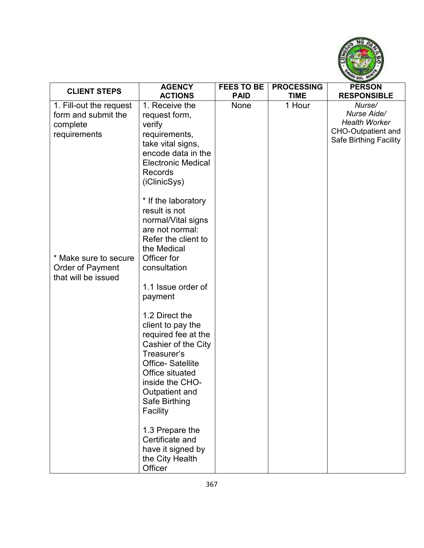

| <b>CLIENT STEPS</b>                                                        | <b>AGENCY</b>                                                                                                                                                                                                    | <b>FEES TO BE</b> | <b>PROCESSING</b> | <b>PERSON</b>                                                                                        |
|----------------------------------------------------------------------------|------------------------------------------------------------------------------------------------------------------------------------------------------------------------------------------------------------------|-------------------|-------------------|------------------------------------------------------------------------------------------------------|
|                                                                            | <b>ACTIONS</b>                                                                                                                                                                                                   | <b>PAID</b>       | <b>TIME</b>       | <b>RESPONSIBLE</b>                                                                                   |
| 1. Fill-out the request<br>form and submit the<br>complete<br>requirements | 1. Receive the<br>request form,<br>verify<br>requirements,<br>take vital signs,<br>encode data in the<br><b>Electronic Medical</b><br><b>Records</b><br>(iClinicSys)                                             | <b>None</b>       | 1 Hour            | Nurse/<br>Nurse Aide/<br><b>Health Worker</b><br><b>CHO-Outpatient and</b><br>Safe Birthing Facility |
| * Make sure to secure<br>Order of Payment<br>that will be issued           | * If the laboratory<br>result is not<br>normal/Vital signs<br>are not normal:<br>Refer the client to<br>the Medical<br>Officer for<br>consultation<br>1.1 Issue order of<br>payment                              |                   |                   |                                                                                                      |
|                                                                            | 1.2 Direct the<br>client to pay the<br>required fee at the<br>Cashier of the City<br>Treasurer's<br><b>Office-Satellite</b><br>Office situated<br>inside the CHO-<br>Outpatient and<br>Safe Birthing<br>Facility |                   |                   |                                                                                                      |
|                                                                            | 1.3 Prepare the<br>Certificate and<br>have it signed by<br>the City Health<br>Officer                                                                                                                            |                   |                   |                                                                                                      |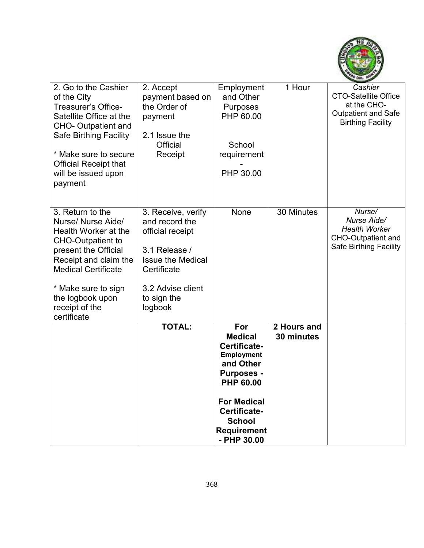

| 2. Go to the Cashier<br>of the City<br><b>Treasurer's Office-</b><br>Satellite Office at the<br><b>CHO- Outpatient and</b><br><b>Safe Birthing Facility</b><br>* Make sure to secure<br><b>Official Receipt that</b><br>will be issued upon           | 2. Accept<br>payment based on<br>the Order of<br>payment<br>2.1 Issue the<br>Official<br>Receipt                                                                    | Employment<br>and Other<br>Purposes<br>PHP 60.00<br>School<br>requirement<br>PHP 30.00                                                                                                                       | 1 Hour                    | Cashier<br><b>CTO-Satellite Office</b><br>at the CHO-<br><b>Outpatient and Safe</b><br><b>Birthing Facility</b> |
|-------------------------------------------------------------------------------------------------------------------------------------------------------------------------------------------------------------------------------------------------------|---------------------------------------------------------------------------------------------------------------------------------------------------------------------|--------------------------------------------------------------------------------------------------------------------------------------------------------------------------------------------------------------|---------------------------|-----------------------------------------------------------------------------------------------------------------|
| payment                                                                                                                                                                                                                                               |                                                                                                                                                                     |                                                                                                                                                                                                              |                           |                                                                                                                 |
| 3. Return to the<br>Nurse/ Nurse Aide/<br>Health Worker at the<br><b>CHO-Outpatient to</b><br>present the Official<br>Receipt and claim the<br><b>Medical Certificate</b><br>* Make sure to sign<br>the logbook upon<br>receipt of the<br>certificate | 3. Receive, verify<br>and record the<br>official receipt<br>3.1 Release /<br><b>Issue the Medical</b><br>Certificate<br>3.2 Advise client<br>to sign the<br>logbook | None                                                                                                                                                                                                         | 30 Minutes                | Nurse/<br>Nurse Aide/<br><b>Health Worker</b><br><b>CHO-Outpatient and</b><br><b>Safe Birthing Facility</b>     |
|                                                                                                                                                                                                                                                       | <b>TOTAL:</b>                                                                                                                                                       | For<br><b>Medical</b><br>Certificate-<br><b>Employment</b><br>and Other<br><b>Purposes -</b><br><b>PHP 60.00</b><br><b>For Medical</b><br>Certificate-<br><b>School</b><br><b>Requirement</b><br>- PHP 30.00 | 2 Hours and<br>30 minutes |                                                                                                                 |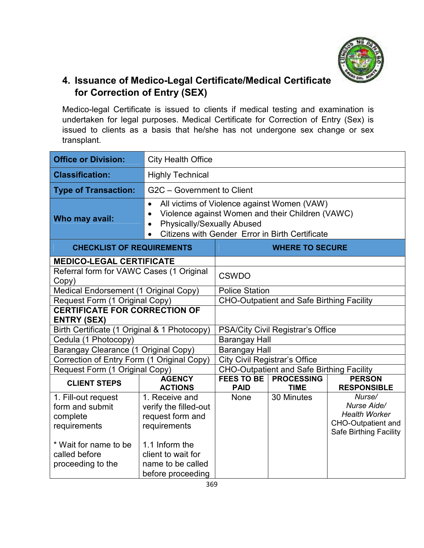

#### **4. Issuance of Medico-Legal Certificate/Medical Certificate for Correction of Entry (SEX)**

Medico-legal Certificate is issued to clients if medical testing and examination is undertaken for legal purposes. Medical Certificate for Correction of Entry (Sex) is issued to clients as a basis that he/she has not undergone sex change or sex transplant.

| <b>Office or Division:</b>                                                                                                        | <b>City Health Office</b>                                                                                                                                                                                                      |                                                  |                                                  |                                                                                                             |  |
|-----------------------------------------------------------------------------------------------------------------------------------|--------------------------------------------------------------------------------------------------------------------------------------------------------------------------------------------------------------------------------|--------------------------------------------------|--------------------------------------------------|-------------------------------------------------------------------------------------------------------------|--|
| <b>Classification:</b>                                                                                                            | <b>Highly Technical</b>                                                                                                                                                                                                        |                                                  |                                                  |                                                                                                             |  |
| <b>Type of Transaction:</b>                                                                                                       | G2C - Government to Client                                                                                                                                                                                                     |                                                  |                                                  |                                                                                                             |  |
| Who may avail:                                                                                                                    | All victims of Violence against Women (VAW)<br>$\bullet$<br>Violence against Women and their Children (VAWC)<br>$\bullet$<br><b>Physically/Sexually Abused</b><br>$\bullet$<br>Citizens with Gender Error in Birth Certificate |                                                  |                                                  |                                                                                                             |  |
| <b>CHECKLIST OF REQUIREMENTS</b>                                                                                                  |                                                                                                                                                                                                                                |                                                  | <b>WHERE TO SECURE</b>                           |                                                                                                             |  |
| <b>MEDICO-LEGAL CERTIFICATE</b>                                                                                                   |                                                                                                                                                                                                                                |                                                  |                                                  |                                                                                                             |  |
| Referral form for VAWC Cases (1 Original<br>Copy)                                                                                 |                                                                                                                                                                                                                                | <b>CSWDO</b>                                     |                                                  |                                                                                                             |  |
| Medical Endorsement (1 Original Copy)                                                                                             |                                                                                                                                                                                                                                | <b>Police Station</b>                            |                                                  |                                                                                                             |  |
| Request Form (1 Original Copy)                                                                                                    |                                                                                                                                                                                                                                | <b>CHO-Outpatient and Safe Birthing Facility</b> |                                                  |                                                                                                             |  |
| <b>CERTIFICATE FOR CORRECTION OF</b><br><b>ENTRY (SEX)</b>                                                                        |                                                                                                                                                                                                                                |                                                  |                                                  |                                                                                                             |  |
| Birth Certificate (1 Original & 1 Photocopy)                                                                                      |                                                                                                                                                                                                                                |                                                  | PSA/City Civil Registrar's Office                |                                                                                                             |  |
| Cedula (1 Photocopy)                                                                                                              |                                                                                                                                                                                                                                | <b>Barangay Hall</b>                             |                                                  |                                                                                                             |  |
| Barangay Clearance (1 Original Copy)                                                                                              |                                                                                                                                                                                                                                | <b>Barangay Hall</b>                             |                                                  |                                                                                                             |  |
| Correction of Entry Form (1 Original Copy)                                                                                        |                                                                                                                                                                                                                                |                                                  | <b>City Civil Registrar's Office</b>             |                                                                                                             |  |
| Request Form (1 Original Copy)                                                                                                    |                                                                                                                                                                                                                                |                                                  | <b>CHO-Outpatient and Safe Birthing Facility</b> |                                                                                                             |  |
| <b>CLIENT STEPS</b>                                                                                                               | <b>AGENCY</b><br><b>ACTIONS</b>                                                                                                                                                                                                | <b>FEES TO BE</b><br><b>PAID</b>                 | <b>PROCESSING</b><br><b>TIME</b>                 | <b>PERSON</b><br><b>RESPONSIBLE</b>                                                                         |  |
| 1. Fill-out request<br>form and submit<br>complete<br>requirements<br>* Wait for name to be<br>called before<br>proceeding to the | 1. Receive and<br>verify the filled-out<br>request form and<br>requirements<br>1.1 Inform the<br>client to wait for<br>name to be called<br>before proceeding                                                                  | <b>None</b>                                      | 30 Minutes                                       | Nurse/<br>Nurse Aide/<br><b>Health Worker</b><br><b>CHO-Outpatient and</b><br><b>Safe Birthing Facility</b> |  |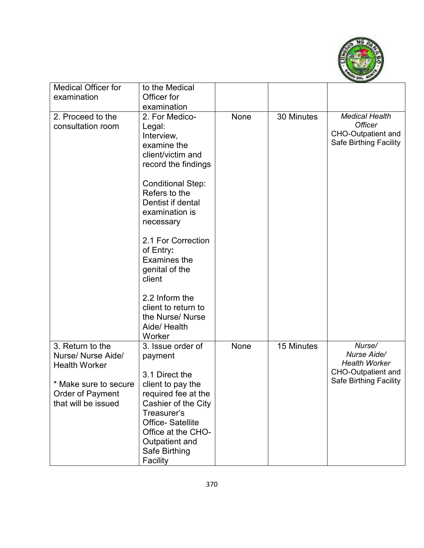

| <b>Medical Officer for</b>                                       | to the Medical                                                                                                                                                                                                                                        |      |            |                                                                                                       |
|------------------------------------------------------------------|-------------------------------------------------------------------------------------------------------------------------------------------------------------------------------------------------------------------------------------------------------|------|------------|-------------------------------------------------------------------------------------------------------|
| examination                                                      | Officer for                                                                                                                                                                                                                                           |      |            |                                                                                                       |
|                                                                  | examination                                                                                                                                                                                                                                           |      |            |                                                                                                       |
| 2. Proceed to the<br>consultation room                           | 2. For Medico-<br>Legal:<br>Interview,<br>examine the<br>client/victim and<br>record the findings<br><b>Conditional Step:</b><br>Refers to the<br>Dentist if dental<br>examination is<br>necessary<br>2.1 For Correction<br>of Entry:<br>Examines the | None | 30 Minutes | <b>Medical Health</b><br><b>Officer</b><br><b>CHO-Outpatient and</b><br><b>Safe Birthing Facility</b> |
|                                                                  | genital of the<br>client<br>2.2 Inform the<br>client to return to<br>the Nurse/ Nurse<br>Aide/ Health<br>Worker                                                                                                                                       |      |            |                                                                                                       |
| 3. Return to the<br>Nurse/ Nurse Aide/<br><b>Health Worker</b>   | 3. Issue order of<br>payment<br>3.1 Direct the                                                                                                                                                                                                        | None | 15 Minutes | Nurse/<br>Nurse Aide/<br><b>Health Worker</b><br><b>CHO-Outpatient and</b>                            |
| * Make sure to secure<br>Order of Payment<br>that will be issued | client to pay the<br>required fee at the<br>Cashier of the City<br>Treasurer's<br><b>Office-Satellite</b><br>Office at the CHO-<br>Outpatient and<br>Safe Birthing<br>Facility                                                                        |      |            | <b>Safe Birthing Facility</b>                                                                         |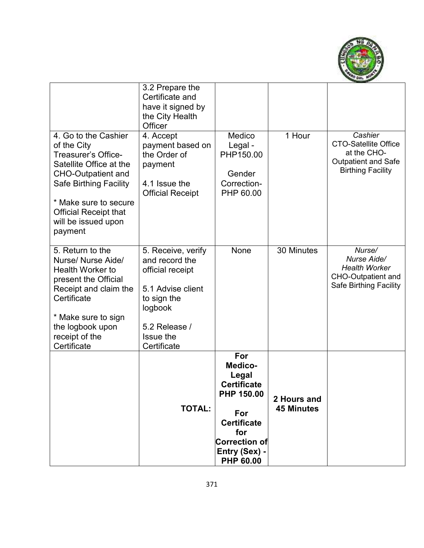

|                                                                                                                                                                                                                                                | 3.2 Prepare the<br>Certificate and<br>have it signed by<br>the City Health<br>Officer                                                                |                                                                                                                                                                     |                                  |                                                                                                                 |
|------------------------------------------------------------------------------------------------------------------------------------------------------------------------------------------------------------------------------------------------|------------------------------------------------------------------------------------------------------------------------------------------------------|---------------------------------------------------------------------------------------------------------------------------------------------------------------------|----------------------------------|-----------------------------------------------------------------------------------------------------------------|
| 4. Go to the Cashier<br>of the City<br>Treasurer's Office-<br>Satellite Office at the<br><b>CHO-Outpatient and</b><br><b>Safe Birthing Facility</b><br>* Make sure to secure<br><b>Official Receipt that</b><br>will be issued upon<br>payment | 4. Accept<br>payment based on<br>the Order of<br>payment<br>4.1 Issue the<br><b>Official Receipt</b>                                                 | Medico<br>Legal -<br>PHP150.00<br>Gender<br>Correction-<br>PHP 60.00                                                                                                | 1 Hour                           | Cashier<br><b>CTO-Satellite Office</b><br>at the CHO-<br><b>Outpatient and Safe</b><br><b>Birthing Facility</b> |
| 5. Return to the<br>Nurse/ Nurse Aide/<br><b>Health Worker to</b><br>present the Official<br>Receipt and claim the<br>Certificate<br>* Make sure to sign<br>the logbook upon<br>receipt of the<br>Certificate                                  | 5. Receive, verify<br>and record the<br>official receipt<br>5.1 Advise client<br>to sign the<br>logbook<br>5.2 Release /<br>Issue the<br>Certificate | None                                                                                                                                                                | 30 Minutes                       | Nurse/<br>Nurse Aide/<br><b>Health Worker</b><br><b>CHO-Outpatient and</b><br><b>Safe Birthing Facility</b>     |
|                                                                                                                                                                                                                                                | <b>TOTAL:</b>                                                                                                                                        | For<br><b>Medico-</b><br>Legal<br><b>Certificate</b><br>PHP 150.00<br>For<br><b>Certificate</b><br>for<br><b>Correction of</b><br>Entry (Sex) -<br><b>PHP 60.00</b> | 2 Hours and<br><b>45 Minutes</b> |                                                                                                                 |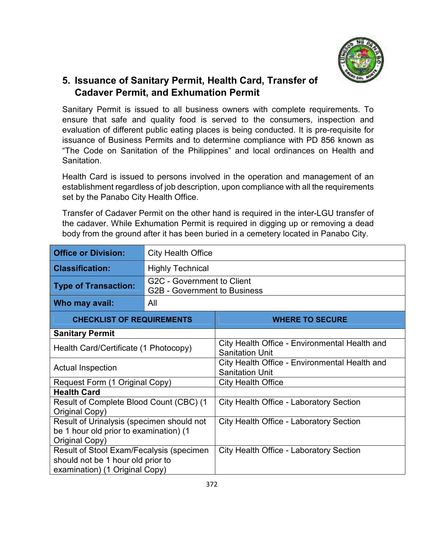

#### **5. Issuance of Sanitary Permit, Health Card, Transfer of Cadaver Permit, and Exhumation Permit**

Sanitary Permit is issued to all business owners with complete requirements. To ensure that safe and quality food is served to the consumers, inspection and evaluation of different public eating places is being conducted. It is pre-requisite for issuance of Business Permits and to determine compliance with PD 856 known as "The Code on Sanitation of the Philippines" and local ordinances on Health and Sanitation.

Health Card is issued to persons involved in the operation and management of an establishment regardless of job description, upon compliance with all the requirements set by the Panabo City Health Office.

Transfer of Cadaver Permit on the other hand is required in the inter-LGU transfer of the cadaver. While Exhumation Permit is required in digging up or removing a dead body from the ground after it has been buried in a cemetery located in Panabo City.

| <b>Office or Division:</b>                                                                                                                                        | <b>City Health Office</b>                                  |                                                                         |  |  |
|-------------------------------------------------------------------------------------------------------------------------------------------------------------------|------------------------------------------------------------|-------------------------------------------------------------------------|--|--|
| <b>Classification:</b>                                                                                                                                            | <b>Highly Technical</b>                                    |                                                                         |  |  |
| <b>Type of Transaction:</b>                                                                                                                                       | G2C - Government to Client<br>G2B - Government to Business |                                                                         |  |  |
| Who may avail:                                                                                                                                                    | All                                                        |                                                                         |  |  |
| <b>CHECKLIST OF REQUIREMENTS</b>                                                                                                                                  |                                                            | <b>WHERE TO SECURE</b>                                                  |  |  |
| <b>Sanitary Permit</b>                                                                                                                                            |                                                            |                                                                         |  |  |
| Health Card/Certificate (1 Photocopy)                                                                                                                             |                                                            | City Health Office - Environmental Health and<br><b>Sanitation Unit</b> |  |  |
| <b>Actual Inspection</b>                                                                                                                                          |                                                            | City Health Office - Environmental Health and<br><b>Sanitation Unit</b> |  |  |
| Request Form (1 Original Copy)                                                                                                                                    |                                                            | <b>City Health Office</b>                                               |  |  |
| <b>Health Card</b>                                                                                                                                                |                                                            |                                                                         |  |  |
| Result of Complete Blood Count (CBC) (1<br>Original Copy)                                                                                                         |                                                            | <b>City Health Office - Laboratory Section</b>                          |  |  |
| Result of Urinalysis (specimen should not<br>be 1 hour old prior to examination) (1<br>Original Copy)                                                             |                                                            | <b>City Health Office - Laboratory Section</b>                          |  |  |
| Result of Stool Exam/Fecalysis (specimen<br><b>City Health Office - Laboratory Section</b><br>should not be 1 hour old prior to<br>examination) (1 Original Copy) |                                                            |                                                                         |  |  |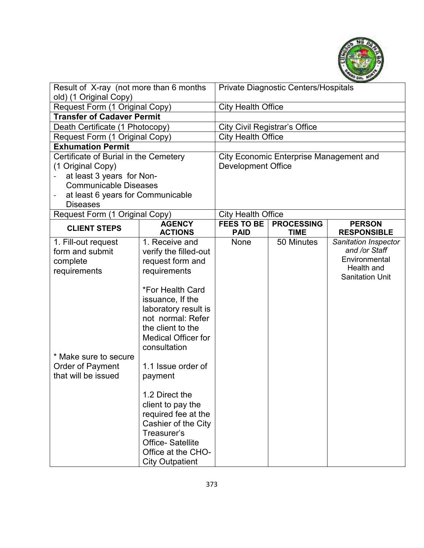

| Result of X-ray (not more than 6 months<br>old) (1 Original Copy) |                                    |                           | Private Diagnostic Centers/Hospitals    |                                       |
|-------------------------------------------------------------------|------------------------------------|---------------------------|-----------------------------------------|---------------------------------------|
| Request Form (1 Original Copy)                                    |                                    | <b>City Health Office</b> |                                         |                                       |
| <b>Transfer of Cadaver Permit</b>                                 |                                    |                           |                                         |                                       |
| Death Certificate (1 Photocopy)                                   |                                    |                           | <b>City Civil Registrar's Office</b>    |                                       |
| Request Form (1 Original Copy)                                    |                                    | <b>City Health Office</b> |                                         |                                       |
| <b>Exhumation Permit</b>                                          |                                    |                           |                                         |                                       |
| Certificate of Burial in the Cemetery                             |                                    |                           | City Economic Enterprise Management and |                                       |
| (1 Original Copy)                                                 |                                    | <b>Development Office</b> |                                         |                                       |
| at least 3 years for Non-                                         |                                    |                           |                                         |                                       |
| <b>Communicable Diseases</b>                                      |                                    |                           |                                         |                                       |
| at least 6 years for Communicable<br>-                            |                                    |                           |                                         |                                       |
| <b>Diseases</b>                                                   |                                    |                           |                                         |                                       |
| Request Form (1 Original Copy)                                    |                                    | <b>City Health Office</b> |                                         |                                       |
| <b>CLIENT STEPS</b>                                               | <b>AGENCY</b>                      | <b>FEES TO BE</b>         | <b>PROCESSING</b>                       | <b>PERSON</b>                         |
|                                                                   | <b>ACTIONS</b>                     | <b>PAID</b>               | <b>TIME</b>                             | <b>RESPONSIBLE</b>                    |
| 1. Fill-out request                                               | 1. Receive and                     | <b>None</b>               | 50 Minutes                              | Sanitation Inspector<br>and /or Staff |
| form and submit                                                   | verify the filled-out              |                           |                                         | Environmental                         |
| complete                                                          | request form and                   |                           |                                         | Health and                            |
| requirements                                                      | requirements                       |                           |                                         | <b>Sanitation Unit</b>                |
|                                                                   |                                    |                           |                                         |                                       |
|                                                                   | *For Health Card                   |                           |                                         |                                       |
|                                                                   | issuance, If the                   |                           |                                         |                                       |
|                                                                   | laboratory result is               |                           |                                         |                                       |
|                                                                   | not normal: Refer                  |                           |                                         |                                       |
|                                                                   | the client to the                  |                           |                                         |                                       |
|                                                                   | <b>Medical Officer for</b>         |                           |                                         |                                       |
|                                                                   | consultation                       |                           |                                         |                                       |
| * Make sure to secure                                             |                                    |                           |                                         |                                       |
| Order of Payment                                                  | 1.1 Issue order of                 |                           |                                         |                                       |
| that will be issued                                               | payment                            |                           |                                         |                                       |
|                                                                   |                                    |                           |                                         |                                       |
|                                                                   | 1.2 Direct the                     |                           |                                         |                                       |
|                                                                   | client to pay the                  |                           |                                         |                                       |
|                                                                   | required fee at the                |                           |                                         |                                       |
|                                                                   | Cashier of the City<br>Treasurer's |                           |                                         |                                       |
|                                                                   |                                    |                           |                                         |                                       |
|                                                                   | <b>Office-Satellite</b>            |                           |                                         |                                       |
|                                                                   | Office at the CHO-                 |                           |                                         |                                       |
|                                                                   | <b>City Outpatient</b>             |                           |                                         |                                       |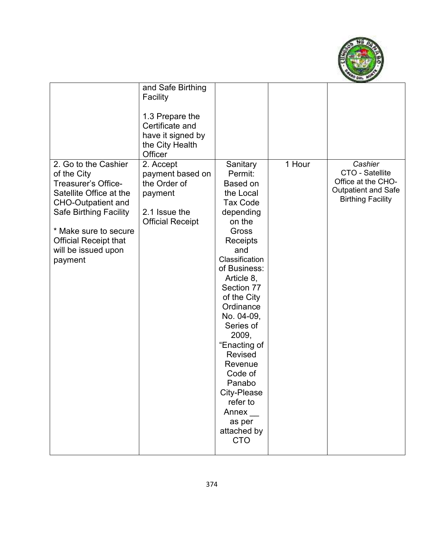

|                                                                                                                                                                                                                                                | and Safe Birthing<br>Facility<br>1.3 Prepare the<br>Certificate and<br>have it signed by<br>the City Health<br>Officer |                                                                                                                                                                                                                                                                                                                                                                                               |        |                                                                                                            |
|------------------------------------------------------------------------------------------------------------------------------------------------------------------------------------------------------------------------------------------------|------------------------------------------------------------------------------------------------------------------------|-----------------------------------------------------------------------------------------------------------------------------------------------------------------------------------------------------------------------------------------------------------------------------------------------------------------------------------------------------------------------------------------------|--------|------------------------------------------------------------------------------------------------------------|
| 2. Go to the Cashier<br>of the City<br>Treasurer's Office-<br>Satellite Office at the<br><b>CHO-Outpatient and</b><br><b>Safe Birthing Facility</b><br>* Make sure to secure<br><b>Official Receipt that</b><br>will be issued upon<br>payment | 2. Accept<br>payment based on<br>the Order of<br>payment<br>2.1 Issue the<br><b>Official Receipt</b>                   | Sanitary<br>Permit:<br>Based on<br>the Local<br><b>Tax Code</b><br>depending<br>on the<br>Gross<br>Receipts<br>and<br>Classification<br>of Business:<br>Article 8,<br>Section 77<br>of the City<br>Ordinance<br>No. 04-09,<br>Series of<br>2009,<br>"Enacting of<br><b>Revised</b><br>Revenue<br>Code of<br>Panabo<br>City-Please<br>refer to<br>Annex<br>as per<br>attached by<br><b>CTO</b> | 1 Hour | Cashier<br>CTO - Satellite<br>Office at the CHO-<br><b>Outpatient and Safe</b><br><b>Birthing Facility</b> |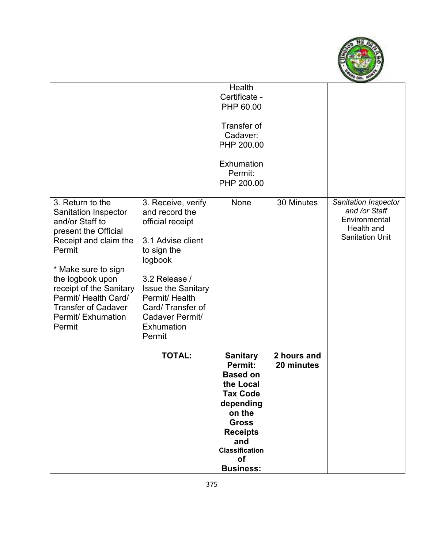

|                                                                                                                                                                                                                                                                                                  |                                                                                                                                                                                                                                               | Health<br>Certificate -<br>PHP 60.00<br>Transfer of<br>Cadaver:<br>PHP 200.00<br>Exhumation<br>Permit:<br>PHP 200.00                                                                              |                           |                                                                                                |
|--------------------------------------------------------------------------------------------------------------------------------------------------------------------------------------------------------------------------------------------------------------------------------------------------|-----------------------------------------------------------------------------------------------------------------------------------------------------------------------------------------------------------------------------------------------|---------------------------------------------------------------------------------------------------------------------------------------------------------------------------------------------------|---------------------------|------------------------------------------------------------------------------------------------|
| 3. Return to the<br><b>Sanitation Inspector</b><br>and/or Staff to<br>present the Official<br>Receipt and claim the<br>Permit<br>* Make sure to sign<br>the logbook upon<br>receipt of the Sanitary<br>Permit/ Health Card/<br><b>Transfer of Cadaver</b><br><b>Permit/ Exhumation</b><br>Permit | 3. Receive, verify<br>and record the<br>official receipt<br>3.1 Advise client<br>to sign the<br>logbook<br>3.2 Release /<br><b>Issue the Sanitary</b><br>Permit/ Health<br>Card/Transfer of<br>Cadaver Permit/<br><b>Exhumation</b><br>Permit | None                                                                                                                                                                                              | 30 Minutes                | Sanitation Inspector<br>and /or Staff<br>Environmental<br>Health and<br><b>Sanitation Unit</b> |
|                                                                                                                                                                                                                                                                                                  | <b>TOTAL:</b>                                                                                                                                                                                                                                 | <b>Sanitary</b><br>Permit:<br><b>Based on</b><br>the Local<br><b>Tax Code</b><br>depending<br>on the<br><b>Gross</b><br><b>Receipts</b><br>and<br><b>Classification</b><br>οf<br><b>Business:</b> | 2 hours and<br>20 minutes |                                                                                                |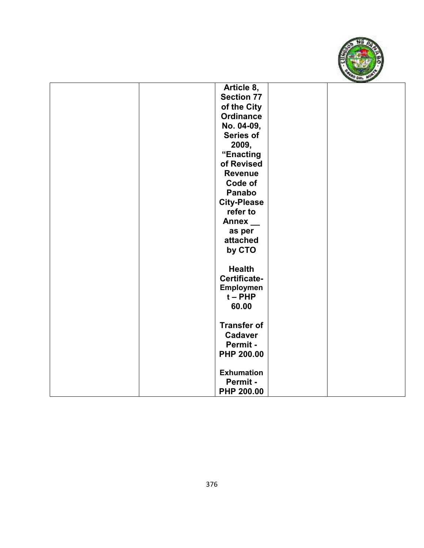

| Article 8,         |  |
|--------------------|--|
| <b>Section 77</b>  |  |
| of the City        |  |
| <b>Ordinance</b>   |  |
| No. 04-09,         |  |
| <b>Series of</b>   |  |
| 2009,              |  |
| "Enacting          |  |
| of Revised         |  |
| <b>Revenue</b>     |  |
| Code of            |  |
| <b>Panabo</b>      |  |
| <b>City-Please</b> |  |
| refer to           |  |
| <b>Annex</b>       |  |
| as per             |  |
| attached           |  |
| by CTO             |  |
|                    |  |
| <b>Health</b>      |  |
| Certificate-       |  |
| Employmen          |  |
| $t - PHP$          |  |
| 60.00              |  |
|                    |  |
| <b>Transfer of</b> |  |
| <b>Cadaver</b>     |  |
| Permit -           |  |
| PHP 200.00         |  |
|                    |  |
| <b>Exhumation</b>  |  |
| Permit -           |  |
| PHP 200.00         |  |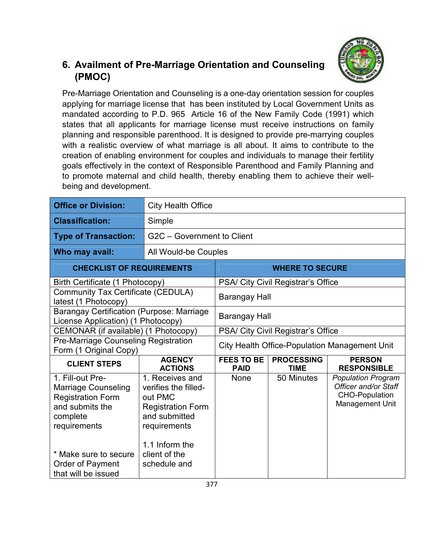

## **6. Availment of Pre-Marriage Orientation and Counseling (PMOC)**

Pre-Marriage Orientation and Counseling is a one-day orientation session for couples applying for marriage license that has been instituted by Local Government Units as mandated according to P.D. 965 Article 16 of the New Family Code (1991) which states that all applicants for marriage license must receive instructions on family planning and responsible parenthood. It is designed to provide pre-marrying couples with a realistic overview of what marriage is all about. It aims to contribute to the creation of enabling environment for couples and individuals to manage their fertility goals effectively in the context of Responsible Parenthood and Family Planning and to promote maternal and child health, thereby enabling them to achieve their wellbeing and development.

| <b>Office or Division:</b>                                                                                                                                                                    | <b>City Health Office</b>                                                                                                                                          |                                                                                                             |                                    |                                                                                               |  |
|-----------------------------------------------------------------------------------------------------------------------------------------------------------------------------------------------|--------------------------------------------------------------------------------------------------------------------------------------------------------------------|-------------------------------------------------------------------------------------------------------------|------------------------------------|-----------------------------------------------------------------------------------------------|--|
| <b>Classification:</b>                                                                                                                                                                        | Simple                                                                                                                                                             |                                                                                                             |                                    |                                                                                               |  |
| <b>Type of Transaction:</b>                                                                                                                                                                   | G2C - Government to Client                                                                                                                                         |                                                                                                             |                                    |                                                                                               |  |
| Who may avail:                                                                                                                                                                                |                                                                                                                                                                    | All Would-be Couples                                                                                        |                                    |                                                                                               |  |
| <b>CHECKLIST OF REQUIREMENTS</b>                                                                                                                                                              |                                                                                                                                                                    |                                                                                                             | <b>WHERE TO SECURE</b>             |                                                                                               |  |
| Birth Certificate (1 Photocopy)                                                                                                                                                               |                                                                                                                                                                    |                                                                                                             | PSA/ City Civil Registrar's Office |                                                                                               |  |
| <b>Community Tax Certificate (CEDULA)</b><br>latest (1 Photocopy)                                                                                                                             |                                                                                                                                                                    | Barangay Hall                                                                                               |                                    |                                                                                               |  |
| <b>Barangay Certification (Purpose: Marriage</b><br>License Application) (1 Photocopy)                                                                                                        |                                                                                                                                                                    | Barangay Hall                                                                                               |                                    |                                                                                               |  |
| CEMONAR (if available) (1 Photocopy)                                                                                                                                                          |                                                                                                                                                                    | PSA/ City Civil Registrar's Office                                                                          |                                    |                                                                                               |  |
| Pre-Marriage Counseling Registration<br>Form (1 Original Copy)                                                                                                                                |                                                                                                                                                                    | <b>City Health Office-Population Management Unit</b>                                                        |                                    |                                                                                               |  |
| <b>CLIENT STEPS</b>                                                                                                                                                                           | <b>AGENCY</b><br><b>ACTIONS</b>                                                                                                                                    | <b>FEES TO BE</b><br><b>PROCESSING</b><br><b>PERSON</b><br><b>RESPONSIBLE</b><br><b>PAID</b><br><b>TIME</b> |                                    |                                                                                               |  |
| 1. Fill-out Pre-<br><b>Marriage Counseling</b><br><b>Registration Form</b><br>and submits the<br>complete<br>requirements<br>* Make sure to secure<br>Order of Payment<br>that will be issued | 1. Receives and<br>verifies the filled-<br>out PMC<br><b>Registration Form</b><br>and submitted<br>requirements<br>1.1 Inform the<br>client of the<br>schedule and | None                                                                                                        | 50 Minutes                         | <b>Population Program</b><br>Officer and/or Staff<br><b>CHO-Population</b><br>Management Unit |  |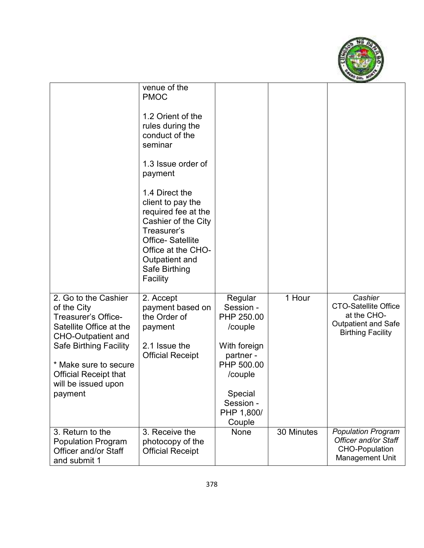

|                                                                                                                                                                              | venue of the<br><b>PMOC</b><br>1.2 Orient of the<br>rules during the<br>conduct of the<br>seminar<br>1.3 Issue order of<br>payment<br>1.4 Direct the<br>client to pay the<br>required fee at the<br>Cashier of the City<br>Treasurer's<br><b>Office-Satellite</b><br>Office at the CHO-<br>Outpatient and<br>Safe Birthing<br>Facility |                                                                                          |            |                                                                                                                 |
|------------------------------------------------------------------------------------------------------------------------------------------------------------------------------|----------------------------------------------------------------------------------------------------------------------------------------------------------------------------------------------------------------------------------------------------------------------------------------------------------------------------------------|------------------------------------------------------------------------------------------|------------|-----------------------------------------------------------------------------------------------------------------|
| 2. Go to the Cashier<br>of the City<br>Treasurer's Office-<br>Satellite Office at the<br><b>CHO-Outpatient and</b><br><b>Safe Birthing Facility</b><br>* Make sure to secure | 2. Accept<br>payment based on<br>the Order of<br>payment<br>2.1 Issue the<br><b>Official Receipt</b>                                                                                                                                                                                                                                   | Regular<br>Session -<br>PHP 250.00<br>/couple<br>With foreign<br>partner -<br>PHP 500.00 | 1 Hour     | Cashier<br><b>CTO-Satellite Office</b><br>at the CHO-<br><b>Outpatient and Safe</b><br><b>Birthing Facility</b> |
| <b>Official Receipt that</b><br>will be issued upon<br>payment                                                                                                               |                                                                                                                                                                                                                                                                                                                                        | /couple<br>Special<br>Session -<br>PHP 1,800/<br>Couple                                  |            |                                                                                                                 |
| 3. Return to the<br><b>Population Program</b><br>Officer and/or Staff<br>and submit 1                                                                                        | 3. Receive the<br>photocopy of the<br><b>Official Receipt</b>                                                                                                                                                                                                                                                                          | None                                                                                     | 30 Minutes | <b>Population Program</b><br>Officer and/or Staff<br><b>CHO-Population</b><br>Management Unit                   |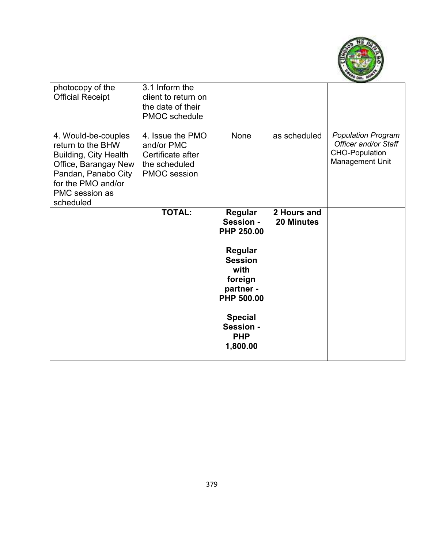

| photocopy of the<br><b>Official Receipt</b>                                                                                                                           | 3.1 Inform the<br>client to return on<br>the date of their<br><b>PMOC</b> schedule          |                                                                                                                                                                   |                                  |                                                                                               |
|-----------------------------------------------------------------------------------------------------------------------------------------------------------------------|---------------------------------------------------------------------------------------------|-------------------------------------------------------------------------------------------------------------------------------------------------------------------|----------------------------------|-----------------------------------------------------------------------------------------------|
| 4. Would-be-couples<br>return to the BHW<br>Building, City Health<br>Office, Barangay New<br>Pandan, Panabo City<br>for the PMO and/or<br>PMC session as<br>scheduled | 4. Issue the PMO<br>and/or PMC<br>Certificate after<br>the scheduled<br><b>PMOC</b> session | None                                                                                                                                                              | as scheduled                     | <b>Population Program</b><br>Officer and/or Staff<br><b>CHO-Population</b><br>Management Unit |
|                                                                                                                                                                       | <b>TOTAL:</b>                                                                               | Regular<br>Session -<br>PHP 250.00<br>Regular<br><b>Session</b><br>with<br>foreign<br>partner -<br><b>PHP 500.00</b><br><b>Special</b><br>Session -<br><b>PHP</b> | 2 Hours and<br><b>20 Minutes</b> |                                                                                               |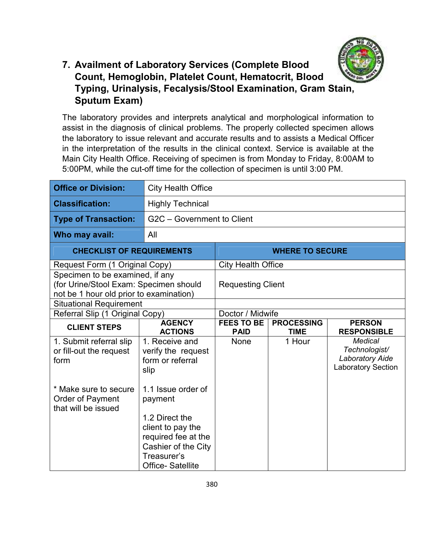

#### **7. Availment of Laboratory Services (Complete Blood Count, Hemoglobin, Platelet Count, Hematocrit, Blood Typing, Urinalysis, Fecalysis/Stool Examination, Gram Stain, Sputum Exam)**

The laboratory provides and interprets analytical and morphological information to assist in the diagnosis of clinical problems. The properly collected specimen allows the laboratory to issue relevant and accurate results and to assists a Medical Officer in the interpretation of the results in the clinical context. Service is available at the Main City Health Office. Receiving of specimen is from Monday to Friday, 8:00AM to 5:00PM, while the cut-off time for the collection of specimen is until 3:00 PM.

| <b>Office or Division:</b>              | <b>City Health Office</b>       |                                                                                                             |                        |                                                     |  |
|-----------------------------------------|---------------------------------|-------------------------------------------------------------------------------------------------------------|------------------------|-----------------------------------------------------|--|
| <b>Classification:</b>                  | <b>Highly Technical</b>         |                                                                                                             |                        |                                                     |  |
| <b>Type of Transaction:</b>             | G2C - Government to Client      |                                                                                                             |                        |                                                     |  |
| Who may avail:                          | All                             |                                                                                                             |                        |                                                     |  |
| <b>CHECKLIST OF REQUIREMENTS</b>        |                                 |                                                                                                             | <b>WHERE TO SECURE</b> |                                                     |  |
| Request Form (1 Original Copy)          |                                 | <b>City Health Office</b>                                                                                   |                        |                                                     |  |
| Specimen to be examined, if any         |                                 |                                                                                                             |                        |                                                     |  |
| (for Urine/Stool Exam: Specimen should  |                                 | <b>Requesting Client</b>                                                                                    |                        |                                                     |  |
| not be 1 hour old prior to examination) |                                 |                                                                                                             |                        |                                                     |  |
| <b>Situational Requirement</b>          |                                 |                                                                                                             |                        |                                                     |  |
| Referral Slip (1 Original Copy)         |                                 | Doctor / Midwife                                                                                            |                        |                                                     |  |
| <b>CLIENT STEPS</b>                     | <b>AGENCY</b><br><b>ACTIONS</b> | <b>FEES TO BE</b><br><b>PROCESSING</b><br><b>PERSON</b><br><b>TIME</b><br><b>RESPONSIBLE</b><br><b>PAID</b> |                        |                                                     |  |
| 1. Submit referral slip                 | 1. Receive and                  | None                                                                                                        | 1 Hour                 | <b>Medical</b>                                      |  |
| or fill-out the request                 | verify the request              |                                                                                                             |                        | Technologist/                                       |  |
| form                                    | form or referral                |                                                                                                             |                        | <b>Laboratory Aide</b><br><b>Laboratory Section</b> |  |
|                                         | slip                            |                                                                                                             |                        |                                                     |  |
| * Make sure to secure                   | 1.1 Issue order of              |                                                                                                             |                        |                                                     |  |
| Order of Payment                        | payment                         |                                                                                                             |                        |                                                     |  |
| that will be issued                     |                                 |                                                                                                             |                        |                                                     |  |
|                                         | 1.2 Direct the                  |                                                                                                             |                        |                                                     |  |
|                                         | client to pay the               |                                                                                                             |                        |                                                     |  |
|                                         | required fee at the             |                                                                                                             |                        |                                                     |  |
|                                         | Cashier of the City             |                                                                                                             |                        |                                                     |  |
|                                         | Treasurer's                     |                                                                                                             |                        |                                                     |  |
|                                         | <b>Office-Satellite</b>         |                                                                                                             |                        |                                                     |  |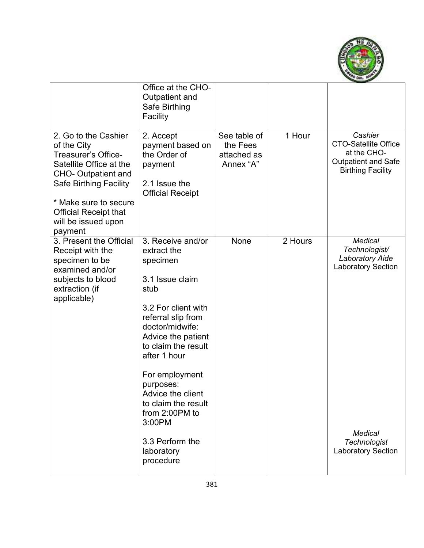

|                                                                                                                                                                                                                                                 | Office at the CHO-<br>Outpatient and<br>Safe Birthing<br>Facility                                                                                                                                                                                                                                                                                         |                                                      |         |                                                                                                                                                              |
|-------------------------------------------------------------------------------------------------------------------------------------------------------------------------------------------------------------------------------------------------|-----------------------------------------------------------------------------------------------------------------------------------------------------------------------------------------------------------------------------------------------------------------------------------------------------------------------------------------------------------|------------------------------------------------------|---------|--------------------------------------------------------------------------------------------------------------------------------------------------------------|
| 2. Go to the Cashier<br>of the City<br>Treasurer's Office-<br>Satellite Office at the<br><b>CHO- Outpatient and</b><br><b>Safe Birthing Facility</b><br>* Make sure to secure<br><b>Official Receipt that</b><br>will be issued upon<br>payment | 2. Accept<br>payment based on<br>the Order of<br>payment<br>2.1 Issue the<br><b>Official Receipt</b>                                                                                                                                                                                                                                                      | See table of<br>the Fees<br>attached as<br>Annex "A" | 1 Hour  | Cashier<br><b>CTO-Satellite Office</b><br>at the CHO-<br><b>Outpatient and Safe</b><br><b>Birthing Facility</b>                                              |
| 3. Present the Official<br>Receipt with the<br>specimen to be<br>examined and/or<br>subjects to blood<br>extraction (if<br>applicable)                                                                                                          | 3. Receive and/or<br>extract the<br>specimen<br>3.1 Issue claim<br>stub<br>3.2 For client with<br>referral slip from<br>doctor/midwife:<br>Advice the patient<br>to claim the result<br>after 1 hour<br>For employment<br>purposes:<br>Advice the client<br>to claim the result<br>from 2:00PM to<br>3:00PM<br>3.3 Perform the<br>laboratory<br>procedure | None                                                 | 2 Hours | <b>Medical</b><br>Technologist/<br><b>Laboratory Aide</b><br><b>Laboratory Section</b><br><b>Medical</b><br><b>Technologist</b><br><b>Laboratory Section</b> |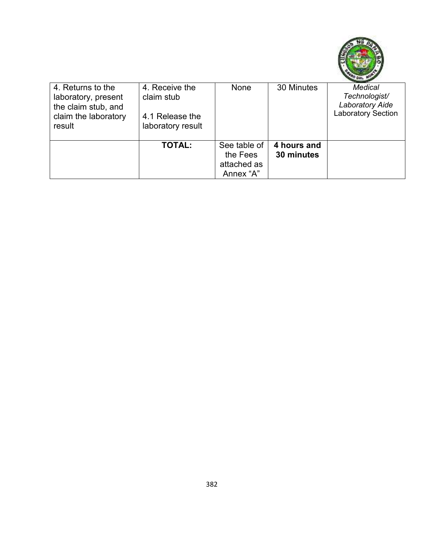

| 4. Returns to the<br>laboratory, present<br>the claim stub, and<br>claim the laboratory<br>result | 4. Receive the<br>claim stub<br>4.1 Release the<br>laboratory result | None                                                 | 30 Minutes                | <b>Medical</b><br>Technologist/<br><b>Laboratory Aide</b><br><b>Laboratory Section</b> |
|---------------------------------------------------------------------------------------------------|----------------------------------------------------------------------|------------------------------------------------------|---------------------------|----------------------------------------------------------------------------------------|
|                                                                                                   | <b>TOTAL:</b>                                                        | See table of<br>the Fees<br>attached as<br>Annex "A" | 4 hours and<br>30 minutes |                                                                                        |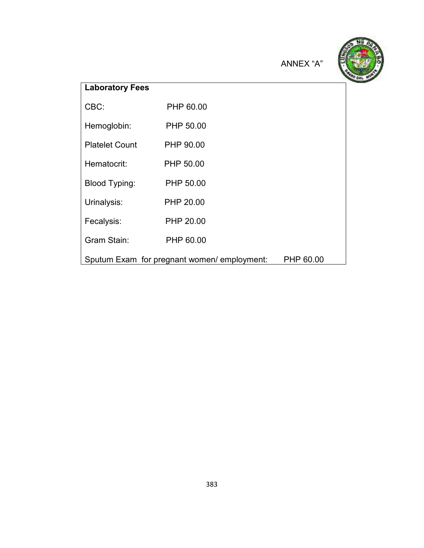ANNEX "A"



# **Laboratory Fees** CBC: PHP 60.00 Hemoglobin: PHP 50.00 Platelet Count PHP 90.00 Hematocrit: PHP 50.00 Blood Typing: PHP 50.00 Urinalysis: PHP 20.00 Fecalysis: PHP 20.00 Gram Stain: PHP 60.00 Sputum Exam for pregnant women/ employment: PHP 60.00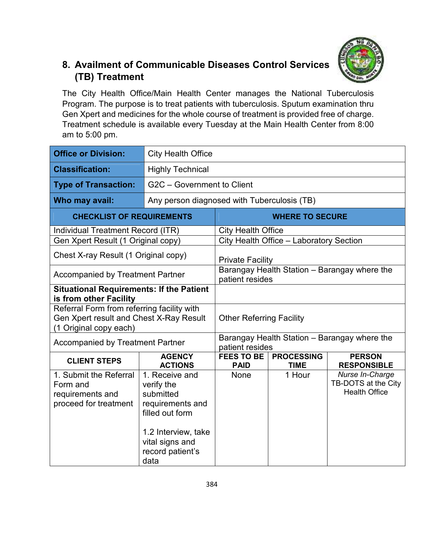

# **8. Availment of Communicable Diseases Control Services (TB) Treatment**

The City Health Office/Main Health Center manages the National Tuberculosis Program. The purpose is to treat patients with tuberculosis. Sputum examination thru Gen Xpert and medicines for the whole course of treatment is provided free of charge. Treatment schedule is available every Tuesday at the Main Health Center from 8:00 am to 5:00 pm.

| <b>Office or Division:</b>                                                                                      | <b>City Health Office</b>                                                                                                                              |                                                                 |                                         |                                                                |
|-----------------------------------------------------------------------------------------------------------------|--------------------------------------------------------------------------------------------------------------------------------------------------------|-----------------------------------------------------------------|-----------------------------------------|----------------------------------------------------------------|
| <b>Classification:</b>                                                                                          | <b>Highly Technical</b>                                                                                                                                |                                                                 |                                         |                                                                |
| <b>Type of Transaction:</b>                                                                                     | G2C - Government to Client                                                                                                                             |                                                                 |                                         |                                                                |
| Who may avail:                                                                                                  | Any person diagnosed with Tuberculosis (TB)                                                                                                            |                                                                 |                                         |                                                                |
| <b>CHECKLIST OF REQUIREMENTS</b>                                                                                |                                                                                                                                                        |                                                                 | <b>WHERE TO SECURE</b>                  |                                                                |
| Individual Treatment Record (ITR)                                                                               |                                                                                                                                                        | <b>City Health Office</b>                                       |                                         |                                                                |
| Gen Xpert Result (1 Original copy)                                                                              |                                                                                                                                                        |                                                                 | City Health Office - Laboratory Section |                                                                |
| Chest X-ray Result (1 Original copy)                                                                            |                                                                                                                                                        | <b>Private Facility</b>                                         |                                         |                                                                |
| <b>Accompanied by Treatment Partner</b>                                                                         |                                                                                                                                                        | Barangay Health Station - Barangay where the<br>patient resides |                                         |                                                                |
| <b>Situational Requirements: If the Patient</b><br>is from other Facility                                       |                                                                                                                                                        |                                                                 |                                         |                                                                |
| Referral Form from referring facility with<br>Gen Xpert result and Chest X-Ray Result<br>(1 Original copy each) |                                                                                                                                                        | <b>Other Referring Facility</b>                                 |                                         |                                                                |
| <b>Accompanied by Treatment Partner</b>                                                                         |                                                                                                                                                        | patient resides                                                 |                                         | Barangay Health Station - Barangay where the                   |
| <b>CLIENT STEPS</b>                                                                                             | <b>AGENCY</b><br><b>ACTIONS</b>                                                                                                                        | <b>FEES TO BE</b><br><b>PAID</b>                                | <b>PROCESSING</b><br><b>TIME</b>        | <b>PERSON</b><br><b>RESPONSIBLE</b>                            |
| 1. Submit the Referral<br>Form and<br>requirements and<br>proceed for treatment                                 | 1. Receive and<br>verify the<br>submitted<br>requirements and<br>filled out form<br>1.2 Interview, take<br>vital signs and<br>record patient's<br>data | <b>None</b>                                                     | 1 Hour                                  | Nurse In-Charge<br>TB-DOTS at the City<br><b>Health Office</b> |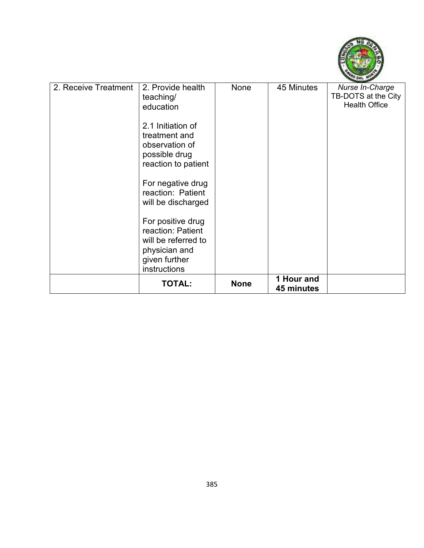

|                      | <b>TOTAL:</b>                                                                                                   | <b>None</b> | 1 Hour and<br>45 minutes |                                                                |
|----------------------|-----------------------------------------------------------------------------------------------------------------|-------------|--------------------------|----------------------------------------------------------------|
|                      | For positive drug<br>reaction: Patient<br>will be referred to<br>physician and<br>given further<br>instructions |             |                          |                                                                |
|                      | For negative drug<br>reaction: Patient<br>will be discharged                                                    |             |                          |                                                                |
|                      | 2.1 Initiation of<br>treatment and<br>observation of<br>possible drug<br>reaction to patient                    |             |                          |                                                                |
| 2. Receive Treatment | 2. Provide health<br>teaching/<br>education                                                                     | None        | 45 Minutes               | Nurse In-Charge<br>TB-DOTS at the City<br><b>Health Office</b> |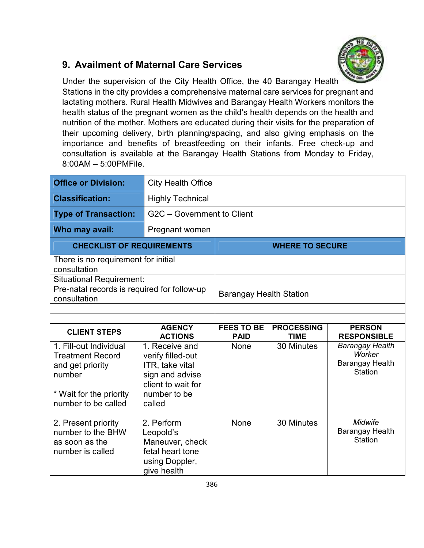#### **9. Availment of Maternal Care Services**



Under the supervision of the City Health Office, the 40 Barangay Health Stations in the city provides a comprehensive maternal care services for pregnant and lactating mothers. Rural Health Midwives and Barangay Health Workers monitors the health status of the pregnant women as the child's health depends on the health and nutrition of the mother. Mothers are educated during their visits for the preparation of their upcoming delivery, birth planning/spacing, and also giving emphasis on the importance and benefits of breastfeeding on their infants. Free check-up and consultation is available at the Barangay Health Stations from Monday to Friday, 8:00AM – 5:00PMFile.

| <b>Office or Division:</b>                                                                                                        | <b>City Health Office</b>                                                                                                 |                                |                        |                                                                              |
|-----------------------------------------------------------------------------------------------------------------------------------|---------------------------------------------------------------------------------------------------------------------------|--------------------------------|------------------------|------------------------------------------------------------------------------|
| <b>Classification:</b>                                                                                                            | <b>Highly Technical</b>                                                                                                   |                                |                        |                                                                              |
| <b>Type of Transaction:</b>                                                                                                       | G2C - Government to Client                                                                                                |                                |                        |                                                                              |
| Who may avail:                                                                                                                    | Pregnant women                                                                                                            |                                |                        |                                                                              |
| <b>CHECKLIST OF REQUIREMENTS</b>                                                                                                  |                                                                                                                           |                                | <b>WHERE TO SECURE</b> |                                                                              |
| There is no requirement for initial<br>consultation                                                                               |                                                                                                                           |                                |                        |                                                                              |
| <b>Situational Requirement:</b>                                                                                                   |                                                                                                                           |                                |                        |                                                                              |
| Pre-natal records is required for follow-up<br>consultation                                                                       |                                                                                                                           | <b>Barangay Health Station</b> |                        |                                                                              |
|                                                                                                                                   |                                                                                                                           |                                |                        |                                                                              |
|                                                                                                                                   | <b>AGENCY</b>                                                                                                             | <b>FEES TO BE</b>              | <b>PROCESSING</b>      | <b>PERSON</b>                                                                |
|                                                                                                                                   |                                                                                                                           |                                |                        |                                                                              |
| <b>CLIENT STEPS</b>                                                                                                               | <b>ACTIONS</b>                                                                                                            | <b>PAID</b>                    | <b>TIME</b>            | <b>RESPONSIBLE</b>                                                           |
| 1. Fill-out Individual<br><b>Treatment Record</b><br>and get priority<br>number<br>* Wait for the priority<br>number to be called | 1. Receive and<br>verify filled-out<br>ITR, take vital<br>sign and advise<br>client to wait for<br>number to be<br>called | <b>None</b>                    | 30 Minutes             | <b>Barangay Health</b><br>Worker<br><b>Barangay Health</b><br><b>Station</b> |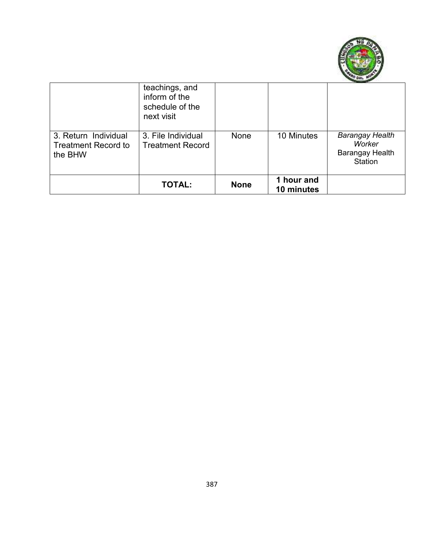

|                                                               | teachings, and<br>inform of the<br>schedule of the<br>next visit |             |                          |                                                                       |
|---------------------------------------------------------------|------------------------------------------------------------------|-------------|--------------------------|-----------------------------------------------------------------------|
| 3. Return Individual<br><b>Treatment Record to</b><br>the BHW | 3. File Individual<br><b>Treatment Record</b>                    | None        | 10 Minutes               | <b>Barangay Health</b><br>Worker<br><b>Barangay Health</b><br>Station |
|                                                               | <b>TOTAL:</b>                                                    | <b>None</b> | 1 hour and<br>10 minutes |                                                                       |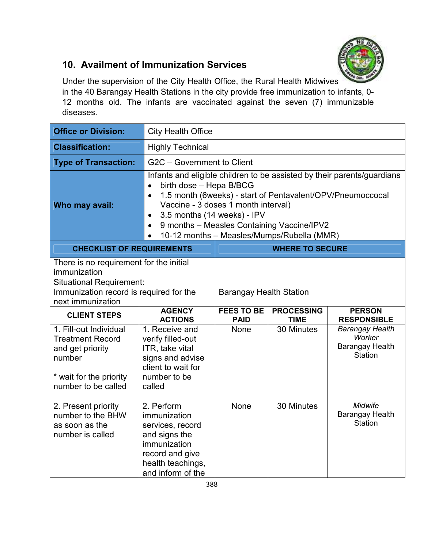

## **10. Availment of Immunization Services**

Under the supervision of the City Health Office, the Rural Health Midwives in the 40 Barangay Health Stations in the city provide free immunization to infants, 0- 12 months old. The infants are vaccinated against the seven (7) immunizable diseases.

| <b>Office or Division:</b>                                                                                                        | <b>City Health Office</b>                                                                                                                                                                                                                                                                                                                                                 |                                  |                                  |                                                                              |  |
|-----------------------------------------------------------------------------------------------------------------------------------|---------------------------------------------------------------------------------------------------------------------------------------------------------------------------------------------------------------------------------------------------------------------------------------------------------------------------------------------------------------------------|----------------------------------|----------------------------------|------------------------------------------------------------------------------|--|
| <b>Classification:</b>                                                                                                            | <b>Highly Technical</b>                                                                                                                                                                                                                                                                                                                                                   |                                  |                                  |                                                                              |  |
| <b>Type of Transaction:</b>                                                                                                       | G2C - Government to Client                                                                                                                                                                                                                                                                                                                                                |                                  |                                  |                                                                              |  |
| Who may avail:                                                                                                                    | Infants and eligible children to be assisted by their parents/guardians<br>birth dose - Hepa B/BCG<br>1.5 month (6weeks) - start of Pentavalent/OPV/Pneumoccocal<br>Vaccine - 3 doses 1 month interval)<br>3.5 months (14 weeks) - IPV<br>$\bullet$<br>9 months - Measles Containing Vaccine/IPV2<br>$\bullet$<br>10-12 months - Measles/Mumps/Rubella (MMR)<br>$\bullet$ |                                  |                                  |                                                                              |  |
| <b>CHECKLIST OF REQUIREMENTS</b>                                                                                                  |                                                                                                                                                                                                                                                                                                                                                                           |                                  | <b>WHERE TO SECURE</b>           |                                                                              |  |
| There is no requirement for the initial<br>immunization                                                                           |                                                                                                                                                                                                                                                                                                                                                                           |                                  |                                  |                                                                              |  |
| <b>Situational Requirement:</b>                                                                                                   |                                                                                                                                                                                                                                                                                                                                                                           |                                  |                                  |                                                                              |  |
| Immunization record is required for the<br>next immunization                                                                      |                                                                                                                                                                                                                                                                                                                                                                           | <b>Barangay Health Station</b>   |                                  |                                                                              |  |
| <b>CLIENT STEPS</b>                                                                                                               | <b>AGENCY</b><br><b>ACTIONS</b>                                                                                                                                                                                                                                                                                                                                           | <b>FEES TO BE</b><br><b>PAID</b> | <b>PROCESSING</b><br><b>TIME</b> | <b>PERSON</b><br><b>RESPONSIBLE</b>                                          |  |
| 1. Fill-out Individual<br><b>Treatment Record</b><br>and get priority<br>number<br>* wait for the priority<br>number to be called | 1. Receive and<br>verify filled-out<br>ITR, take vital<br>signs and advise<br>client to wait for<br>number to be<br>called                                                                                                                                                                                                                                                | <b>None</b>                      | 30 Minutes                       | <b>Barangay Health</b><br>Worker<br><b>Barangay Health</b><br><b>Station</b> |  |
| 2. Present priority<br>number to the BHW<br>as soon as the<br>number is called                                                    | 2. Perform<br>immunization<br>services, record<br>and signs the<br>immunization<br>record and give<br>health teachings,<br>and inform of the                                                                                                                                                                                                                              | None                             | 30 Minutes                       | Midwife<br><b>Barangay Health</b><br><b>Station</b>                          |  |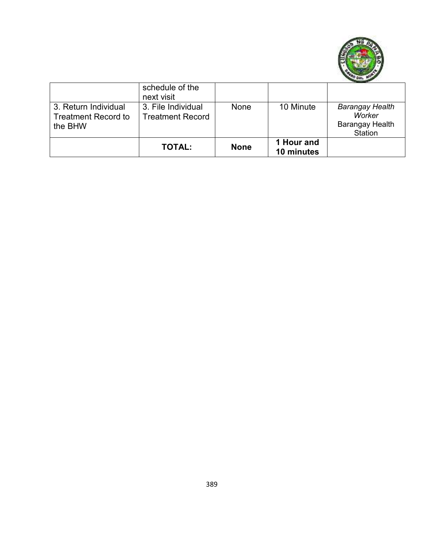

|                                                               | schedule of the<br>next visit                 |             |                          |                                                                       |
|---------------------------------------------------------------|-----------------------------------------------|-------------|--------------------------|-----------------------------------------------------------------------|
| 3. Return Individual<br><b>Treatment Record to</b><br>the BHW | 3. File Individual<br><b>Treatment Record</b> | None        | 10 Minute                | <b>Barangay Health</b><br>Worker<br><b>Barangay Health</b><br>Station |
|                                                               | <b>TOTAL:</b>                                 | <b>None</b> | 1 Hour and<br>10 minutes |                                                                       |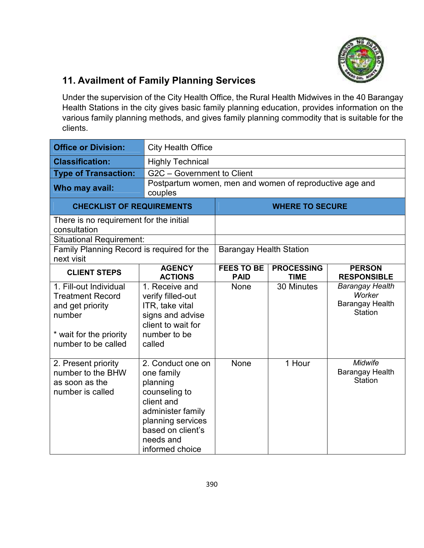

# **11. Availment of Family Planning Services**

Under the supervision of the City Health Office, the Rural Health Midwives in the 40 Barangay Health Stations in the city gives basic family planning education, provides information on the various family planning methods, and gives family planning commodity that is suitable for the clients.

| <b>Office or Division:</b>                                                                                                        | <b>City Health Office</b>                                                                                                                                                 |                                  |                                  |                                                                              |
|-----------------------------------------------------------------------------------------------------------------------------------|---------------------------------------------------------------------------------------------------------------------------------------------------------------------------|----------------------------------|----------------------------------|------------------------------------------------------------------------------|
| <b>Classification:</b>                                                                                                            | <b>Highly Technical</b>                                                                                                                                                   |                                  |                                  |                                                                              |
| <b>Type of Transaction:</b>                                                                                                       | G2C - Government to Client                                                                                                                                                |                                  |                                  |                                                                              |
| Who may avail:                                                                                                                    | Postpartum women, men and women of reproductive age and<br>couples                                                                                                        |                                  |                                  |                                                                              |
| <b>CHECKLIST OF REQUIREMENTS</b>                                                                                                  |                                                                                                                                                                           |                                  | <b>WHERE TO SECURE</b>           |                                                                              |
| There is no requirement for the initial<br>consultation                                                                           |                                                                                                                                                                           |                                  |                                  |                                                                              |
| <b>Situational Requirement:</b>                                                                                                   |                                                                                                                                                                           |                                  |                                  |                                                                              |
| Family Planning Record is required for the<br>next visit                                                                          |                                                                                                                                                                           | <b>Barangay Health Station</b>   |                                  |                                                                              |
| <b>CLIENT STEPS</b>                                                                                                               | <b>AGENCY</b><br><b>ACTIONS</b>                                                                                                                                           | <b>FEES TO BE</b><br><b>PAID</b> | <b>PROCESSING</b><br><b>TIME</b> | <b>PERSON</b><br><b>RESPONSIBLE</b>                                          |
| 1. Fill-out Individual<br><b>Treatment Record</b><br>and get priority<br>number<br>* wait for the priority<br>number to be called | 1. Receive and<br>verify filled-out<br>ITR, take vital<br>signs and advise<br>client to wait for<br>number to be<br>called                                                | None                             | 30 Minutes                       | <b>Barangay Health</b><br>Worker<br><b>Barangay Health</b><br><b>Station</b> |
| 2. Present priority<br>number to the BHW<br>as soon as the<br>number is called                                                    | 2. Conduct one on<br>one family<br>planning<br>counseling to<br>client and<br>administer family<br>planning services<br>based on client's<br>needs and<br>informed choice | None                             | 1 Hour                           | Midwife<br><b>Barangay Health</b><br><b>Station</b>                          |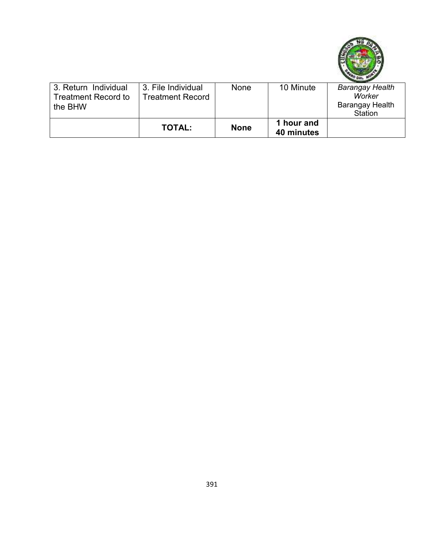

| 3. Return Individual<br>Treatment Record to<br>the BHW | 3. File Individual<br><b>Treatment Record</b> | None        | 10 Minute  | <b>Barangay Health</b><br>Worker<br><b>Barangay Health</b> |
|--------------------------------------------------------|-----------------------------------------------|-------------|------------|------------------------------------------------------------|
|                                                        |                                               |             | 1 hour and | Station                                                    |
|                                                        | <b>TOTAL:</b>                                 | <b>None</b> | 40 minutes |                                                            |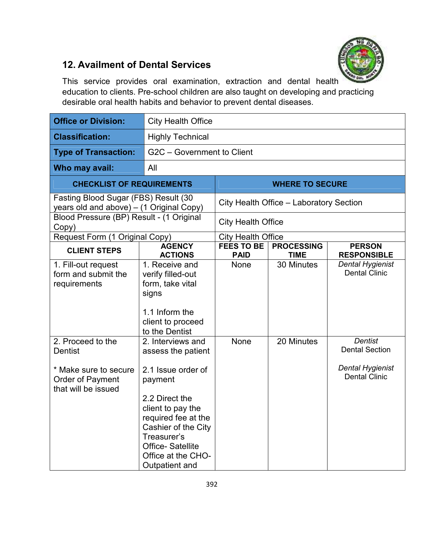

## **12. Availment of Dental Services**

This service provides oral examination, extraction and dental health education to clients. Pre-school children are also taught on developing and practicing desirable oral health habits and behavior to prevent dental diseases.

| <b>Office or Division:</b>                                                                              | <b>City Health Office</b>                                                                                                                                                                                                                       |                                  |                                         |                                                                                            |  |
|---------------------------------------------------------------------------------------------------------|-------------------------------------------------------------------------------------------------------------------------------------------------------------------------------------------------------------------------------------------------|----------------------------------|-----------------------------------------|--------------------------------------------------------------------------------------------|--|
| <b>Classification:</b>                                                                                  | <b>Highly Technical</b>                                                                                                                                                                                                                         |                                  |                                         |                                                                                            |  |
| <b>Type of Transaction:</b>                                                                             | G2C - Government to Client                                                                                                                                                                                                                      |                                  |                                         |                                                                                            |  |
| Who may avail:                                                                                          | All                                                                                                                                                                                                                                             |                                  |                                         |                                                                                            |  |
| <b>CHECKLIST OF REQUIREMENTS</b>                                                                        |                                                                                                                                                                                                                                                 |                                  | <b>WHERE TO SECURE</b>                  |                                                                                            |  |
| Fasting Blood Sugar (FBS) Result (30<br>years old and above) - (1 Original Copy)                        |                                                                                                                                                                                                                                                 |                                  | City Health Office - Laboratory Section |                                                                                            |  |
| Blood Pressure (BP) Result - (1 Original<br>Copy)                                                       |                                                                                                                                                                                                                                                 | <b>City Health Office</b>        |                                         |                                                                                            |  |
| Request Form (1 Original Copy)                                                                          |                                                                                                                                                                                                                                                 | <b>City Health Office</b>        |                                         |                                                                                            |  |
| <b>CLIENT STEPS</b>                                                                                     | <b>AGENCY</b><br><b>ACTIONS</b>                                                                                                                                                                                                                 | <b>FEES TO BE</b><br><b>PAID</b> | <b>PROCESSING</b><br><b>TIME</b>        | <b>PERSON</b><br><b>RESPONSIBLE</b>                                                        |  |
| 1. Fill-out request<br>form and submit the<br>requirements                                              | 1. Receive and<br>verify filled-out<br>form, take vital<br>signs<br>1.1 Inform the<br>client to proceed<br>to the Dentist                                                                                                                       | <b>None</b>                      | 30 Minutes                              | <b>Dental Hygienist</b><br><b>Dental Clinic</b>                                            |  |
| 2. Proceed to the<br><b>Dentist</b><br>* Make sure to secure<br>Order of Payment<br>that will be issued | 2. Interviews and<br>assess the patient<br>2.1 Issue order of<br>payment<br>2.2 Direct the<br>client to pay the<br>required fee at the<br>Cashier of the City<br>Treasurer's<br><b>Office-Satellite</b><br>Office at the CHO-<br>Outpatient and | <b>None</b>                      | 20 Minutes                              | <b>Dentist</b><br><b>Dental Section</b><br><b>Dental Hygienist</b><br><b>Dental Clinic</b> |  |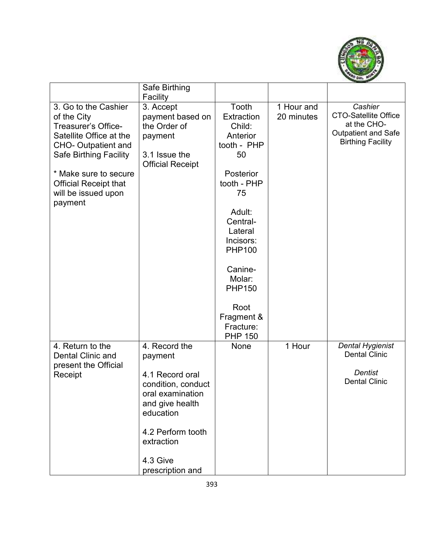

|                                                                                              | Safe Birthing                                                                             |                                                             |                          |                                                                                                                 |
|----------------------------------------------------------------------------------------------|-------------------------------------------------------------------------------------------|-------------------------------------------------------------|--------------------------|-----------------------------------------------------------------------------------------------------------------|
|                                                                                              | Facility                                                                                  |                                                             |                          |                                                                                                                 |
| 3. Go to the Cashier<br>of the City<br><b>Treasurer's Office-</b><br>Satellite Office at the | 3. Accept<br>payment based on<br>the Order of<br>payment                                  | Tooth<br><b>Extraction</b><br>Child:<br>Anterior            | 1 Hour and<br>20 minutes | Cashier<br><b>CTO-Satellite Office</b><br>at the CHO-<br><b>Outpatient and Safe</b><br><b>Birthing Facility</b> |
| <b>CHO- Outpatient and</b><br><b>Safe Birthing Facility</b>                                  | 3.1 Issue the<br><b>Official Receipt</b>                                                  | tooth - PHP<br>50                                           |                          |                                                                                                                 |
| * Make sure to secure<br><b>Official Receipt that</b><br>will be issued upon<br>payment      |                                                                                           | Posterior<br>tooth - PHP<br>75                              |                          |                                                                                                                 |
|                                                                                              |                                                                                           | Adult:<br>Central-<br>Lateral<br>Incisors:<br><b>PHP100</b> |                          |                                                                                                                 |
|                                                                                              |                                                                                           | Canine-<br>Molar:<br><b>PHP150</b>                          |                          |                                                                                                                 |
|                                                                                              |                                                                                           | Root<br>Fragment &<br>Fracture:<br><b>PHP 150</b>           |                          |                                                                                                                 |
| 4. Return to the<br><b>Dental Clinic and</b><br>present the Official                         | 4. Record the<br>payment                                                                  | None                                                        | 1 Hour                   | <b>Dental Hygienist</b><br><b>Dental Clinic</b>                                                                 |
| Receipt                                                                                      | 4.1 Record oral<br>condition, conduct<br>oral examination<br>and give health<br>education |                                                             |                          | <b>Dentist</b><br><b>Dental Clinic</b>                                                                          |
|                                                                                              | 4.2 Perform tooth<br>extraction                                                           |                                                             |                          |                                                                                                                 |
|                                                                                              | 4.3 Give<br>prescription and                                                              |                                                             |                          |                                                                                                                 |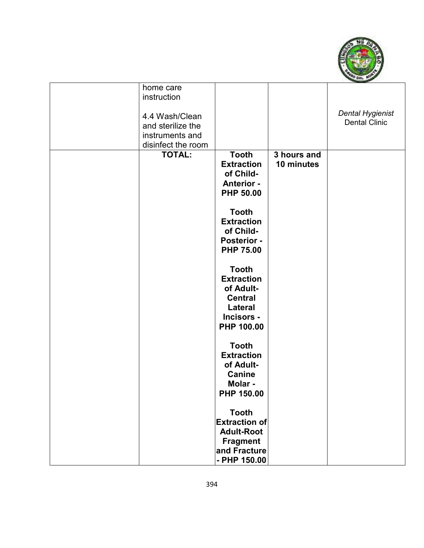

| home care          |                      |             |                         |
|--------------------|----------------------|-------------|-------------------------|
| instruction        |                      |             |                         |
|                    |                      |             |                         |
| 4.4 Wash/Clean     |                      |             | <b>Dental Hygienist</b> |
| and sterilize the  |                      |             | <b>Dental Clinic</b>    |
| instruments and    |                      |             |                         |
| disinfect the room |                      |             |                         |
| <b>TOTAL:</b>      | <b>Tooth</b>         | 3 hours and |                         |
|                    | <b>Extraction</b>    | 10 minutes  |                         |
|                    | of Child-            |             |                         |
|                    | <b>Anterior -</b>    |             |                         |
|                    | <b>PHP 50.00</b>     |             |                         |
|                    |                      |             |                         |
|                    | <b>Tooth</b>         |             |                         |
|                    | <b>Extraction</b>    |             |                         |
|                    | of Child-            |             |                         |
|                    | <b>Posterior -</b>   |             |                         |
|                    | <b>PHP 75.00</b>     |             |                         |
|                    |                      |             |                         |
|                    | <b>Tooth</b>         |             |                         |
|                    | <b>Extraction</b>    |             |                         |
|                    | of Adult-            |             |                         |
|                    | <b>Central</b>       |             |                         |
|                    | Lateral              |             |                         |
|                    | Incisors -           |             |                         |
|                    | PHP 100.00           |             |                         |
|                    |                      |             |                         |
|                    | <b>Tooth</b>         |             |                         |
|                    | <b>Extraction</b>    |             |                         |
|                    | of Adult-            |             |                         |
|                    | <b>Canine</b>        |             |                         |
|                    | Molar -              |             |                         |
|                    | PHP 150.00           |             |                         |
|                    |                      |             |                         |
|                    | <b>Tooth</b>         |             |                         |
|                    | <b>Extraction of</b> |             |                         |
|                    | <b>Adult-Root</b>    |             |                         |
|                    | <b>Fragment</b>      |             |                         |
|                    | and Fracture         |             |                         |
|                    | $-$ PHP 150.00       |             |                         |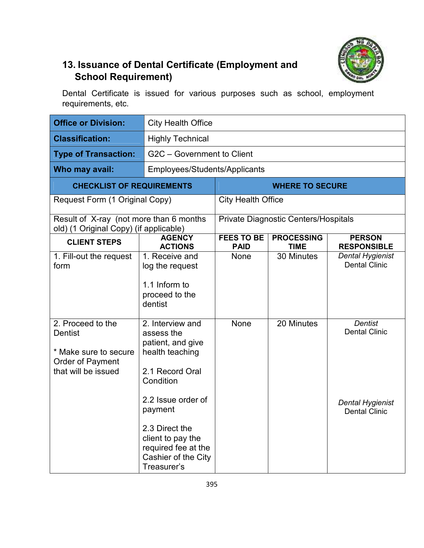

# **13. Issuance of Dental Certificate (Employment and School Requirement)**

Dental Certificate is issued for various purposes such as school, employment requirements, etc.

| <b>Office or Division:</b>                                                                              | <b>City Health Office</b>                                                                                                                                                                                                                   |                                  |                                             |                                                                                           |
|---------------------------------------------------------------------------------------------------------|---------------------------------------------------------------------------------------------------------------------------------------------------------------------------------------------------------------------------------------------|----------------------------------|---------------------------------------------|-------------------------------------------------------------------------------------------|
| <b>Classification:</b>                                                                                  | <b>Highly Technical</b>                                                                                                                                                                                                                     |                                  |                                             |                                                                                           |
| <b>Type of Transaction:</b>                                                                             | G2C - Government to Client                                                                                                                                                                                                                  |                                  |                                             |                                                                                           |
| Who may avail:                                                                                          | Employees/Students/Applicants                                                                                                                                                                                                               |                                  |                                             |                                                                                           |
| <b>CHECKLIST OF REQUIREMENTS</b>                                                                        |                                                                                                                                                                                                                                             |                                  | <b>WHERE TO SECURE</b>                      |                                                                                           |
| Request Form (1 Original Copy)                                                                          |                                                                                                                                                                                                                                             | <b>City Health Office</b>        |                                             |                                                                                           |
| Result of X-ray (not more than 6 months<br>old) (1 Original Copy) (if applicable)                       |                                                                                                                                                                                                                                             |                                  | <b>Private Diagnostic Centers/Hospitals</b> |                                                                                           |
| <b>CLIENT STEPS</b>                                                                                     | <b>AGENCY</b><br><b>ACTIONS</b>                                                                                                                                                                                                             | <b>FEES TO BE</b><br><b>PAID</b> | <b>PROCESSING</b><br><b>TIME</b>            | <b>PERSON</b><br><b>RESPONSIBLE</b>                                                       |
| 1. Fill-out the request<br>form                                                                         | 1. Receive and<br>log the request<br>1.1 Inform to<br>proceed to the<br>dentist                                                                                                                                                             | <b>None</b>                      | 30 Minutes                                  | <b>Dental Hygienist</b><br><b>Dental Clinic</b>                                           |
| 2. Proceed to the<br><b>Dentist</b><br>* Make sure to secure<br>Order of Payment<br>that will be issued | 2. Interview and<br>assess the<br>patient, and give<br>health teaching<br>2.1 Record Oral<br>Condition<br>2.2 Issue order of<br>payment<br>2.3 Direct the<br>client to pay the<br>required fee at the<br>Cashier of the City<br>Treasurer's | <b>None</b>                      | 20 Minutes                                  | <b>Dentist</b><br><b>Dental Clinic</b><br><b>Dental Hygienist</b><br><b>Dental Clinic</b> |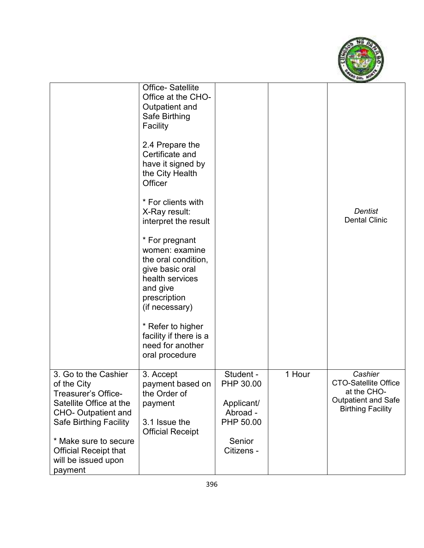

|                                                                                                                                                      | <b>Office-Satellite</b><br>Office at the CHO-<br>Outpatient and<br>Safe Birthing<br>Facility<br>2.4 Prepare the<br>Certificate and<br>have it signed by<br>the City Health<br>Officer<br>* For clients with<br>X-Ray result:<br>interpret the result<br>* For pregnant<br>women: examine<br>the oral condition,<br>give basic oral<br>health services<br>and give<br>prescription<br>(if necessary)<br>* Refer to higher<br>facility if there is a<br>need for another<br>oral procedure |                                                               |        | <b>Dentist</b><br><b>Dental Clinic</b>                                                                          |
|------------------------------------------------------------------------------------------------------------------------------------------------------|------------------------------------------------------------------------------------------------------------------------------------------------------------------------------------------------------------------------------------------------------------------------------------------------------------------------------------------------------------------------------------------------------------------------------------------------------------------------------------------|---------------------------------------------------------------|--------|-----------------------------------------------------------------------------------------------------------------|
| 3. Go to the Cashier<br>of the City<br>Treasurer's Office-<br>Satellite Office at the<br><b>CHO- Outpatient and</b><br><b>Safe Birthing Facility</b> | 3. Accept<br>payment based on<br>the Order of<br>payment<br>3.1 Issue the<br><b>Official Receipt</b>                                                                                                                                                                                                                                                                                                                                                                                     | Student -<br>PHP 30.00<br>Applicant/<br>Abroad -<br>PHP 50.00 | 1 Hour | Cashier<br><b>CTO-Satellite Office</b><br>at the CHO-<br><b>Outpatient and Safe</b><br><b>Birthing Facility</b> |
| * Make sure to secure<br><b>Official Receipt that</b><br>will be issued upon<br>payment                                                              |                                                                                                                                                                                                                                                                                                                                                                                                                                                                                          | Senior<br>Citizens -                                          |        |                                                                                                                 |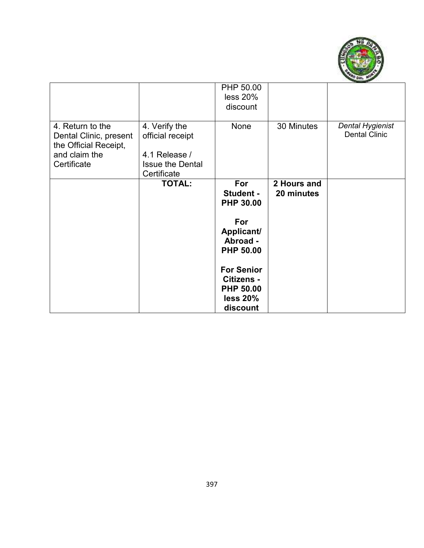

|                                                                                                     |                                                                                              | PHP 50.00<br>less 20%<br>discount                                                  |                           |                                          |
|-----------------------------------------------------------------------------------------------------|----------------------------------------------------------------------------------------------|------------------------------------------------------------------------------------|---------------------------|------------------------------------------|
| 4. Return to the<br>Dental Clinic, present<br>the Official Receipt,<br>and claim the<br>Certificate | 4. Verify the<br>official receipt<br>4.1 Release /<br><b>Issue the Dental</b><br>Certificate | None                                                                               | 30 Minutes                | Dental Hygienist<br><b>Dental Clinic</b> |
|                                                                                                     | <b>TOTAL:</b>                                                                                | For<br><b>Student -</b><br><b>PHP 30.00</b>                                        | 2 Hours and<br>20 minutes |                                          |
|                                                                                                     |                                                                                              | For<br>Applicant/<br>Abroad -<br><b>PHP 50.00</b>                                  |                           |                                          |
|                                                                                                     |                                                                                              | <b>For Senior</b><br><b>Citizens -</b><br><b>PHP 50.00</b><br>less 20%<br>discount |                           |                                          |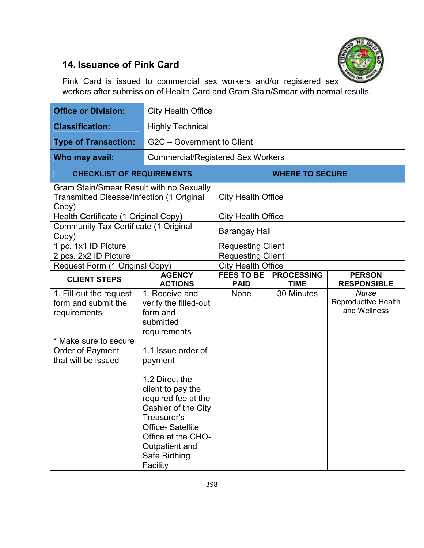

# **14. Issuance of Pink Card**

Pink Card is issued to commercial sex workers and/or registered sex workers after submission of Health Card and Gram Stain/Smear with normal results.

| <b>Office or Division:</b>                                                                                                                | <b>City Health Office</b>                                                                                                                                                                                                                                                                                             |                                          |                                  |                                                     |
|-------------------------------------------------------------------------------------------------------------------------------------------|-----------------------------------------------------------------------------------------------------------------------------------------------------------------------------------------------------------------------------------------------------------------------------------------------------------------------|------------------------------------------|----------------------------------|-----------------------------------------------------|
| <b>Classification:</b>                                                                                                                    | <b>Highly Technical</b>                                                                                                                                                                                                                                                                                               |                                          |                                  |                                                     |
| <b>Type of Transaction:</b>                                                                                                               | G2C - Government to Client                                                                                                                                                                                                                                                                                            |                                          |                                  |                                                     |
| Who may avail:                                                                                                                            |                                                                                                                                                                                                                                                                                                                       | <b>Commercial/Registered Sex Workers</b> |                                  |                                                     |
| <b>CHECKLIST OF REQUIREMENTS</b>                                                                                                          |                                                                                                                                                                                                                                                                                                                       |                                          | <b>WHERE TO SECURE</b>           |                                                     |
| Copy)                                                                                                                                     | Gram Stain/Smear Result with no Sexually<br><b>Transmitted Disease/Infection (1 Original</b>                                                                                                                                                                                                                          |                                          | <b>City Health Office</b>        |                                                     |
| Health Certificate (1 Original Copy)                                                                                                      |                                                                                                                                                                                                                                                                                                                       | <b>City Health Office</b>                |                                  |                                                     |
| <b>Community Tax Certificate (1 Original</b><br>Copy)                                                                                     |                                                                                                                                                                                                                                                                                                                       | Barangay Hall                            |                                  |                                                     |
| 1 pc. 1x1 ID Picture                                                                                                                      |                                                                                                                                                                                                                                                                                                                       | <b>Requesting Client</b>                 |                                  |                                                     |
| 2 pcs. 2x2 ID Picture                                                                                                                     |                                                                                                                                                                                                                                                                                                                       | <b>Requesting Client</b>                 |                                  |                                                     |
| Request Form (1 Original Copy)                                                                                                            |                                                                                                                                                                                                                                                                                                                       | <b>City Health Office</b>                |                                  |                                                     |
| <b>CLIENT STEPS</b>                                                                                                                       | <b>AGENCY</b><br><b>ACTIONS</b>                                                                                                                                                                                                                                                                                       | <b>FEES TO BE</b><br><b>PAID</b>         | <b>PROCESSING</b><br><b>TIME</b> | <b>PERSON</b><br><b>RESPONSIBLE</b>                 |
| 1. Fill-out the request<br>form and submit the<br>requirements<br>* Make sure to secure<br><b>Order of Payment</b><br>that will be issued | 1. Receive and<br>verify the filled-out<br>form and<br>submitted<br>requirements<br>1.1 Issue order of<br>payment<br>1.2 Direct the<br>client to pay the<br>required fee at the<br>Cashier of the City<br>Treasurer's<br><b>Office-Satellite</b><br>Office at the CHO-<br>Outpatient and<br>Safe Birthing<br>Facility | None                                     | 30 Minutes                       | <b>Nurse</b><br>Reproductive Health<br>and Wellness |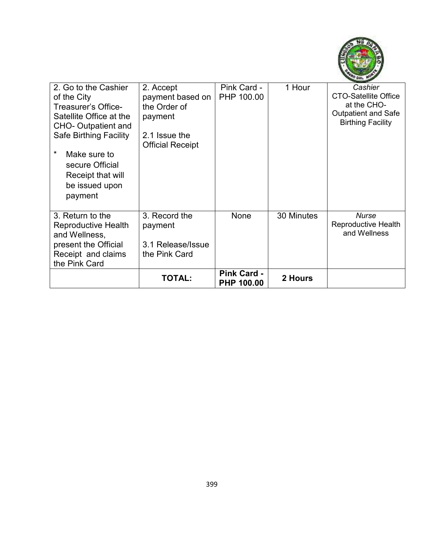

| 2. Go to the Cashier<br>of the City<br>Treasurer's Office-<br>Satellite Office at the<br><b>CHO- Outpatient and</b><br><b>Safe Birthing Facility</b><br>$\ast$<br>Make sure to<br>secure Official<br>Receipt that will<br>be issued upon<br>payment | 2. Accept<br>payment based on<br>the Order of<br>payment<br>2.1 Issue the<br><b>Official Receipt</b> | Pink Card -<br>PHP 100.00               | 1 Hour     | Cashier<br><b>CTO-Satellite Office</b><br>at the CHO-<br><b>Outpatient and Safe</b><br><b>Birthing Facility</b> |
|-----------------------------------------------------------------------------------------------------------------------------------------------------------------------------------------------------------------------------------------------------|------------------------------------------------------------------------------------------------------|-----------------------------------------|------------|-----------------------------------------------------------------------------------------------------------------|
| 3. Return to the<br>Reproductive Health<br>and Wellness,<br>present the Official<br>Receipt and claims<br>the Pink Card                                                                                                                             | 3. Record the<br>payment<br>3.1 Release/Issue<br>the Pink Card                                       | None                                    | 30 Minutes | <b>Nurse</b><br><b>Reproductive Health</b><br>and Wellness                                                      |
|                                                                                                                                                                                                                                                     | <b>TOTAL:</b>                                                                                        | <b>Pink Card -</b><br><b>PHP 100.00</b> | 2 Hours    |                                                                                                                 |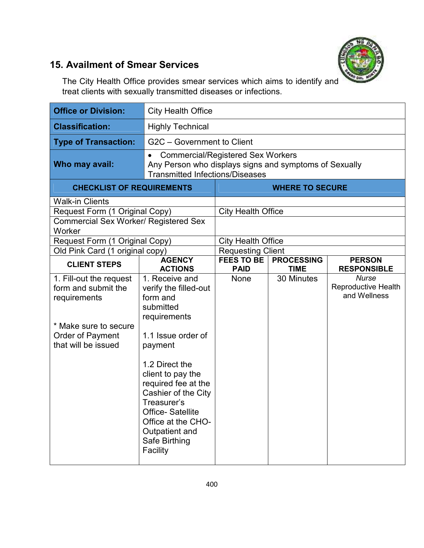

## **15. Availment of Smear Services**

The City Health Office provides smear services which aims to identify and treat clients with sexually transmitted diseases or infections.

| <b>Office or Division:</b>                                                                                                         | <b>City Health Office</b>                                                                                                                                                                                                                                                                                      |                                                                                                                                              |                                  |                                                            |
|------------------------------------------------------------------------------------------------------------------------------------|----------------------------------------------------------------------------------------------------------------------------------------------------------------------------------------------------------------------------------------------------------------------------------------------------------------|----------------------------------------------------------------------------------------------------------------------------------------------|----------------------------------|------------------------------------------------------------|
| <b>Classification:</b>                                                                                                             | <b>Highly Technical</b>                                                                                                                                                                                                                                                                                        |                                                                                                                                              |                                  |                                                            |
| <b>Type of Transaction:</b>                                                                                                        | G2C - Government to Client                                                                                                                                                                                                                                                                                     |                                                                                                                                              |                                  |                                                            |
| Who may avail:                                                                                                                     | ٠                                                                                                                                                                                                                                                                                                              | <b>Commercial/Registered Sex Workers</b><br>Any Person who displays signs and symptoms of Sexually<br><b>Transmitted Infections/Diseases</b> |                                  |                                                            |
| <b>CHECKLIST OF REQUIREMENTS</b>                                                                                                   |                                                                                                                                                                                                                                                                                                                |                                                                                                                                              | <b>WHERE TO SECURE</b>           |                                                            |
| <b>Walk-in Clients</b>                                                                                                             |                                                                                                                                                                                                                                                                                                                |                                                                                                                                              |                                  |                                                            |
| Request Form (1 Original Copy)                                                                                                     |                                                                                                                                                                                                                                                                                                                | <b>City Health Office</b>                                                                                                                    |                                  |                                                            |
| <b>Commercial Sex Worker/ Registered Sex</b><br>Worker                                                                             |                                                                                                                                                                                                                                                                                                                |                                                                                                                                              |                                  |                                                            |
| Request Form (1 Original Copy)                                                                                                     |                                                                                                                                                                                                                                                                                                                | <b>City Health Office</b>                                                                                                                    |                                  |                                                            |
| Old Pink Card (1 original copy)                                                                                                    |                                                                                                                                                                                                                                                                                                                | <b>Requesting Client</b>                                                                                                                     |                                  |                                                            |
| <b>CLIENT STEPS</b>                                                                                                                | <b>AGENCY</b><br><b>ACTIONS</b>                                                                                                                                                                                                                                                                                | <b>FEES TO BE</b><br><b>PAID</b>                                                                                                             | <b>PROCESSING</b><br><b>TIME</b> | <b>PERSON</b><br><b>RESPONSIBLE</b>                        |
| 1. Fill-out the request<br>form and submit the<br>requirements<br>* Make sure to secure<br>Order of Payment<br>that will be issued | 1. Receive and<br>verify the filled-out<br>form and<br>submitted<br>requirements<br>1.1 Issue order of<br>payment<br>1.2 Direct the<br>client to pay the<br>required fee at the<br>Cashier of the City<br>Treasurer's<br>Office-Satellite<br>Office at the CHO-<br>Outpatient and<br>Safe Birthing<br>Facility | None                                                                                                                                         | 30 Minutes                       | <b>Nurse</b><br><b>Reproductive Health</b><br>and Wellness |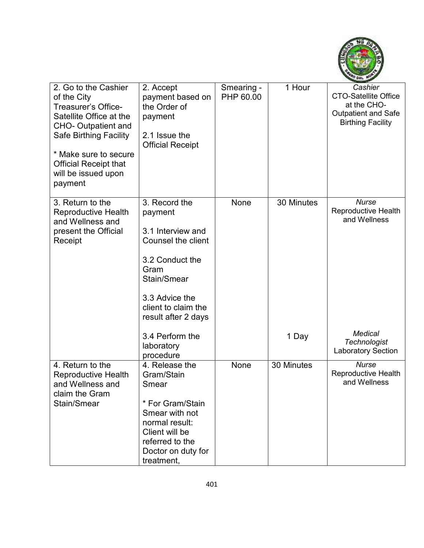

| 2. Go to the Cashier<br>of the City<br>Treasurer's Office-<br>Satellite Office at the<br><b>CHO- Outpatient and</b><br><b>Safe Birthing Facility</b><br>* Make sure to secure<br><b>Official Receipt that</b><br>will be issued upon<br>payment | 2. Accept<br>payment based on<br>the Order of<br>payment<br>2.1 Issue the<br><b>Official Receipt</b>                                                                                 | Smearing -<br>PHP 60.00 | 1 Hour     | Cashier<br><b>CTO-Satellite Office</b><br>at the CHO-<br>Outpatient and Safe<br><b>Birthing Facility</b> |
|-------------------------------------------------------------------------------------------------------------------------------------------------------------------------------------------------------------------------------------------------|--------------------------------------------------------------------------------------------------------------------------------------------------------------------------------------|-------------------------|------------|----------------------------------------------------------------------------------------------------------|
| 3. Return to the<br><b>Reproductive Health</b><br>and Wellness and<br>present the Official<br>Receipt                                                                                                                                           | 3. Record the<br>payment<br>3.1 Interview and<br><b>Counsel the client</b><br>3.2 Conduct the<br>Gram<br>Stain/Smear<br>3.3 Advice the<br>client to claim the<br>result after 2 days | None                    | 30 Minutes | <b>Nurse</b><br><b>Reproductive Health</b><br>and Wellness                                               |
|                                                                                                                                                                                                                                                 | 3.4 Perform the<br>laboratory<br>procedure                                                                                                                                           |                         | 1 Day      | <b>Medical</b><br><b>Technologist</b><br><b>Laboratory Section</b>                                       |
| 4. Return to the<br><b>Reproductive Health</b><br>and Wellness and<br>claim the Gram<br>Stain/Smear                                                                                                                                             | 4. Release the<br>Gram/Stain<br>Smear<br>* For Gram/Stain<br>Smear with not<br>normal result:<br>Client will be<br>referred to the<br>Doctor on duty for<br>treatment,               | <b>None</b>             | 30 Minutes | <b>Nurse</b><br><b>Reproductive Health</b><br>and Wellness                                               |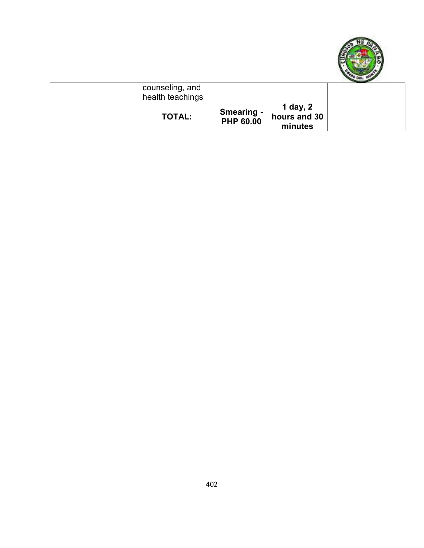

| counseling, and<br>health teachings |                                       |                                     |  |
|-------------------------------------|---------------------------------------|-------------------------------------|--|
| <b>TOTAL:</b>                       | <b>Smearing -</b><br><b>PHP 60.00</b> | 1 day, 2<br>hours and 30<br>minutes |  |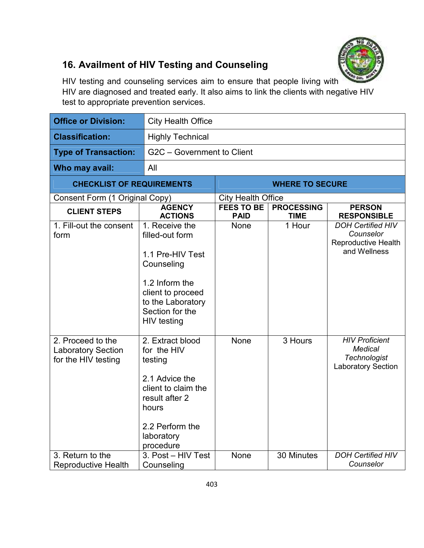

# **16. Availment of HIV Testing and Counseling**

HIV testing and counseling services aim to ensure that people living with HIV are diagnosed and treated early. It also aims to link the clients with negative HIV test to appropriate prevention services.

| <b>Office or Division:</b>                                            | <b>City Health Office</b>                                                                                                                                                |                                  |                                  |                                                                                                                         |  |
|-----------------------------------------------------------------------|--------------------------------------------------------------------------------------------------------------------------------------------------------------------------|----------------------------------|----------------------------------|-------------------------------------------------------------------------------------------------------------------------|--|
| <b>Classification:</b>                                                | <b>Highly Technical</b>                                                                                                                                                  |                                  |                                  |                                                                                                                         |  |
| <b>Type of Transaction:</b>                                           | G2C - Government to Client                                                                                                                                               |                                  |                                  |                                                                                                                         |  |
| Who may avail:                                                        | All                                                                                                                                                                      |                                  |                                  |                                                                                                                         |  |
| <b>CHECKLIST OF REQUIREMENTS</b>                                      |                                                                                                                                                                          |                                  | <b>WHERE TO SECURE</b>           |                                                                                                                         |  |
| Consent Form (1 Original Copy)                                        |                                                                                                                                                                          | <b>City Health Office</b>        |                                  |                                                                                                                         |  |
| <b>CLIENT STEPS</b>                                                   | <b>AGENCY</b><br><b>ACTIONS</b>                                                                                                                                          | <b>FEES TO BE</b><br><b>PAID</b> | <b>PROCESSING</b><br><b>TIME</b> | <b>PERSON</b><br><b>RESPONSIBLE</b>                                                                                     |  |
| 1. Fill-out the consent<br>form                                       | 1. Receive the<br>filled-out form<br>1.1 Pre-HIV Test<br>Counseling<br>1.2 Inform the<br>client to proceed<br>to the Laboratory<br>Section for the<br><b>HIV</b> testing | None                             | 1 Hour                           | <b>DOH Certified HIV</b><br>Counselor<br>Reproductive Health<br>and Wellness                                            |  |
| 2. Proceed to the<br><b>Laboratory Section</b><br>for the HIV testing | 2. Extract blood<br>for the HIV<br>testing<br>2.1 Advice the<br>client to claim the<br>result after 2<br>hours<br>2.2 Perform the<br>laboratory<br>procedure             | None                             | 3 Hours                          | <b>HIV Proficient</b><br><b>Medical</b><br><b>Technologist</b><br><b>Laboratory Section</b><br><b>DOH Certified HIV</b> |  |
| 3. Return to the<br><b>Reproductive Health</b>                        | 3. Post - HIV Test<br>Counseling                                                                                                                                         | None                             | 30 Minutes                       | Counselor                                                                                                               |  |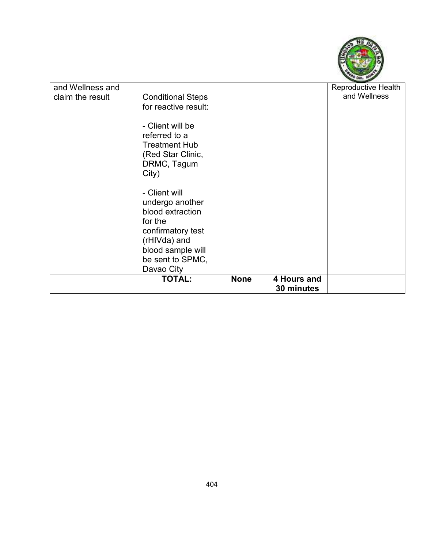

| and Wellness and |                          |             |             | <b>Reproductive Health</b> |
|------------------|--------------------------|-------------|-------------|----------------------------|
|                  |                          |             |             |                            |
| claim the result | <b>Conditional Steps</b> |             |             | and Wellness               |
|                  | for reactive result:     |             |             |                            |
|                  |                          |             |             |                            |
|                  | - Client will be         |             |             |                            |
|                  | referred to a            |             |             |                            |
|                  |                          |             |             |                            |
|                  | <b>Treatment Hub</b>     |             |             |                            |
|                  | (Red Star Clinic,        |             |             |                            |
|                  | DRMC, Tagum              |             |             |                            |
|                  | City)                    |             |             |                            |
|                  |                          |             |             |                            |
|                  | - Client will            |             |             |                            |
|                  |                          |             |             |                            |
|                  | undergo another          |             |             |                            |
|                  | blood extraction         |             |             |                            |
|                  | for the                  |             |             |                            |
|                  | confirmatory test        |             |             |                            |
|                  | (rHIVda) and             |             |             |                            |
|                  |                          |             |             |                            |
|                  | blood sample will        |             |             |                            |
|                  | be sent to SPMC,         |             |             |                            |
|                  | Davao City               |             |             |                            |
|                  | <b>TOTAL:</b>            | <b>None</b> | 4 Hours and |                            |
|                  |                          |             | 30 minutes  |                            |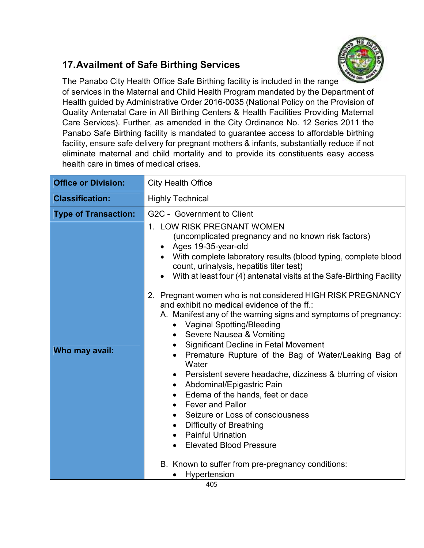## **17. Availment of Safe Birthing Services**



The Panabo City Health Office Safe Birthing facility is included in the range of services in the Maternal and Child Health Program mandated by the Department of Health guided by Administrative Order 2016-0035 (National Policy on the Provision of Quality Antenatal Care in All Birthing Centers & Health Facilities Providing Maternal Care Services). Further, as amended in the City Ordinance No. 12 Series 2011 the Panabo Safe Birthing facility is mandated to guarantee access to affordable birthing facility, ensure safe delivery for pregnant mothers & infants, substantially reduce if not eliminate maternal and child mortality and to provide its constituents easy access health care in times of medical crises.

| <b>Office or Division:</b>  | <b>City Health Office</b>                                                                                                                                                                                                                                                                                                                                                                                                                                                                                                                                                                                                                                                                                                                                                                                                                                                                                                                                                                                   |  |  |  |  |  |
|-----------------------------|-------------------------------------------------------------------------------------------------------------------------------------------------------------------------------------------------------------------------------------------------------------------------------------------------------------------------------------------------------------------------------------------------------------------------------------------------------------------------------------------------------------------------------------------------------------------------------------------------------------------------------------------------------------------------------------------------------------------------------------------------------------------------------------------------------------------------------------------------------------------------------------------------------------------------------------------------------------------------------------------------------------|--|--|--|--|--|
| <b>Classification:</b>      | <b>Highly Technical</b>                                                                                                                                                                                                                                                                                                                                                                                                                                                                                                                                                                                                                                                                                                                                                                                                                                                                                                                                                                                     |  |  |  |  |  |
| <b>Type of Transaction:</b> | G2C - Government to Client                                                                                                                                                                                                                                                                                                                                                                                                                                                                                                                                                                                                                                                                                                                                                                                                                                                                                                                                                                                  |  |  |  |  |  |
| Who may avail:              | 1. LOW RISK PREGNANT WOMEN<br>(uncomplicated pregnancy and no known risk factors)<br>Ages 19-35-year-old<br>$\bullet$<br>With complete laboratory results (blood typing, complete blood<br>count, urinalysis, hepatitis titer test)<br>With at least four (4) antenatal visits at the Safe-Birthing Facility<br>$\bullet$<br>2. Pregnant women who is not considered HIGH RISK PREGNANCY<br>and exhibit no medical evidence of the ff.:<br>A. Manifest any of the warning signs and symptoms of pregnancy:<br><b>Vaginal Spotting/Bleeding</b><br>$\bullet$<br>• Severe Nausea & Vomiting<br><b>Significant Decline in Fetal Movement</b><br>$\bullet$<br>Premature Rupture of the Bag of Water/Leaking Bag of<br>Water<br>Persistent severe headache, dizziness & blurring of vision<br>Abdominal/Epigastric Pain<br>Edema of the hands, feet or dace<br>$\bullet$<br><b>Fever and Pallor</b><br>$\bullet$<br>Seizure or Loss of consciousness<br>$\bullet$<br><b>Difficulty of Breathing</b><br>$\bullet$ |  |  |  |  |  |
|                             | <b>Painful Urination</b><br>$\bullet$<br><b>Elevated Blood Pressure</b>                                                                                                                                                                                                                                                                                                                                                                                                                                                                                                                                                                                                                                                                                                                                                                                                                                                                                                                                     |  |  |  |  |  |
|                             | B. Known to suffer from pre-pregnancy conditions:                                                                                                                                                                                                                                                                                                                                                                                                                                                                                                                                                                                                                                                                                                                                                                                                                                                                                                                                                           |  |  |  |  |  |
|                             | Hypertension                                                                                                                                                                                                                                                                                                                                                                                                                                                                                                                                                                                                                                                                                                                                                                                                                                                                                                                                                                                                |  |  |  |  |  |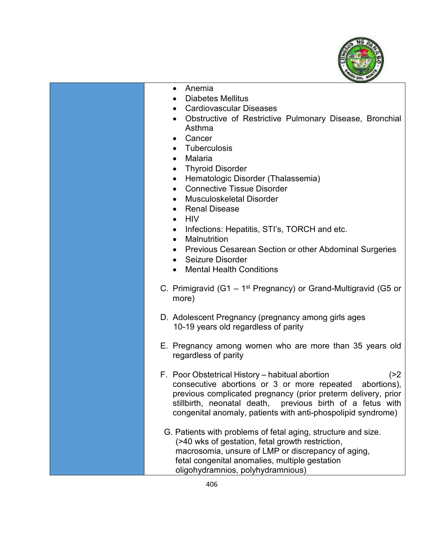

- Anemia
- Diabetes Mellitus
- Cardiovascular Diseases
- Obstructive of Restrictive Pulmonary Disease, Bronchial Asthma
- **Cancer**
- Tuberculosis
- Malaria
- Thyroid Disorder
- Hematologic Disorder (Thalassemia)
- Connective Tissue Disorder
- Musculoskeletal Disorder
- Renal Disease
- $\bullet$  HIV
- Infections: Hepatitis, STI's, TORCH and etc.
- Malnutrition
- Previous Cesarean Section or other Abdominal Surgeries
- Seizure Disorder
- Mental Health Conditions
- C. Primigravid (G1  $1<sup>st</sup>$  Pregnancy) or Grand-Multigravid (G5 or more)
- D. Adolescent Pregnancy (pregnancy among girls ages 10-19 years old regardless of parity
- E. Pregnancy among women who are more than 35 years old regardless of parity
- F. Poor Obstetrical History habitual abortion (>2 consecutive abortions or 3 or more repeated abortions), previous complicated pregnancy (prior preterm delivery, prior stillbirth, neonatal death, previous birth of a fetus with congenital anomaly, patients with anti-phospolipid syndrome)
- G. Patients with problems of fetal aging, structure and size. (>40 wks of gestation, fetal growth restriction, macrosomia, unsure of LMP or discrepancy of aging, fetal congenital anomalies, multiple gestation oligohydramnios, polyhydramnious)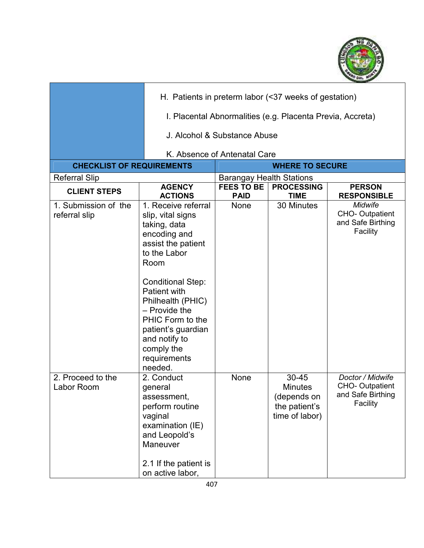

|                                       |                                                                                                                                                                                                                                                                                                                | H. Patients in preterm labor (<37 weeks of gestation)      |                                                                           |                                                                            |  |
|---------------------------------------|----------------------------------------------------------------------------------------------------------------------------------------------------------------------------------------------------------------------------------------------------------------------------------------------------------------|------------------------------------------------------------|---------------------------------------------------------------------------|----------------------------------------------------------------------------|--|
|                                       |                                                                                                                                                                                                                                                                                                                | I. Placental Abnormalities (e.g. Placenta Previa, Accreta) |                                                                           |                                                                            |  |
|                                       |                                                                                                                                                                                                                                                                                                                | J. Alcohol & Substance Abuse                               |                                                                           |                                                                            |  |
|                                       |                                                                                                                                                                                                                                                                                                                | K. Absence of Antenatal Care                               |                                                                           |                                                                            |  |
| <b>CHECKLIST OF REQUIREMENTS</b>      | <b>WHERE TO SECURE</b>                                                                                                                                                                                                                                                                                         |                                                            |                                                                           |                                                                            |  |
| <b>Referral Slip</b>                  |                                                                                                                                                                                                                                                                                                                | <b>Barangay Health Stations</b>                            |                                                                           |                                                                            |  |
| <b>CLIENT STEPS</b>                   | <b>AGENCY</b><br><b>ACTIONS</b>                                                                                                                                                                                                                                                                                | <b>FEES TO BE</b><br><b>PAID</b>                           | <b>PROCESSING</b><br><b>TIME</b>                                          | <b>PERSON</b><br><b>RESPONSIBLE</b>                                        |  |
| 1. Submission of the<br>referral slip | 1. Receive referral<br>slip, vital signs<br>taking, data<br>encoding and<br>assist the patient<br>to the Labor<br>Room<br><b>Conditional Step:</b><br>Patient with<br>Philhealth (PHIC)<br>$-$ Provide the<br>PHIC Form to the<br>patient's guardian<br>and notify to<br>comply the<br>requirements<br>needed. | None                                                       | 30 Minutes                                                                | <b>Midwife</b><br><b>CHO-Outpatient</b><br>and Safe Birthing<br>Facility   |  |
| 2. Proceed to the<br>Labor Room       | 2. Conduct<br>general<br>assessment,<br>perform routine<br>vaginal<br>examination (IE)<br>and Leopold's<br>Maneuver<br>2.1 If the patient is<br>on active labor,                                                                                                                                               | None                                                       | 30-45<br><b>Minutes</b><br>(depends on<br>the patient's<br>time of labor) | Doctor / Midwife<br><b>CHO-Outpatient</b><br>and Safe Birthing<br>Facility |  |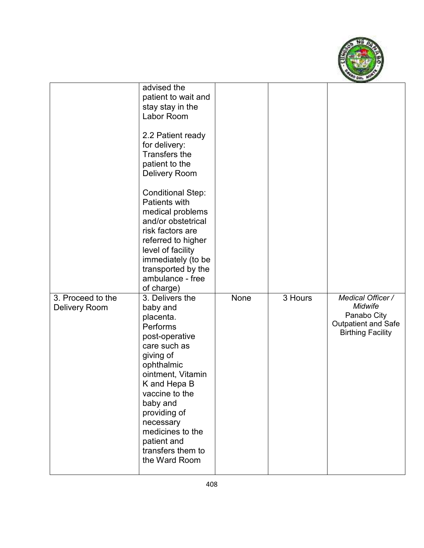

|                                           | advised the<br>patient to wait and<br>stay stay in the<br>Labor Room<br>2.2 Patient ready<br>for delivery:<br><b>Transfers the</b><br>patient to the<br><b>Delivery Room</b><br><b>Conditional Step:</b><br><b>Patients with</b><br>medical problems<br>and/or obstetrical<br>risk factors are<br>referred to higher<br>level of facility<br>immediately (to be<br>transported by the<br>ambulance - free<br>of charge) |      |         |                                                                                                       |
|-------------------------------------------|-------------------------------------------------------------------------------------------------------------------------------------------------------------------------------------------------------------------------------------------------------------------------------------------------------------------------------------------------------------------------------------------------------------------------|------|---------|-------------------------------------------------------------------------------------------------------|
| 3. Proceed to the<br><b>Delivery Room</b> | 3. Delivers the<br>baby and<br>placenta.<br>Performs<br>post-operative<br>care such as<br>giving of<br>ophthalmic<br>ointment, Vitamin<br>K and Hepa B<br>vaccine to the<br>baby and<br>providing of<br>necessary<br>medicines to the<br>patient and<br>transfers them to<br>the Ward Room                                                                                                                              | None | 3 Hours | Medical Officer /<br>Midwife<br>Panabo City<br><b>Outpatient and Safe</b><br><b>Birthing Facility</b> |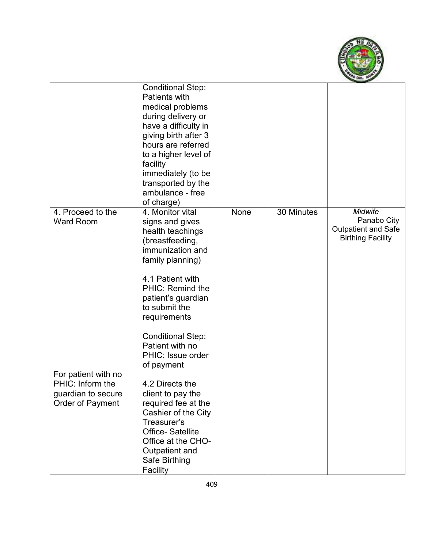

|                                                                                   | <b>Conditional Step:</b><br>Patients with<br>medical problems<br>during delivery or<br>have a difficulty in<br>giving birth after 3<br>hours are referred<br>to a higher level of<br>facility<br>immediately (to be<br>transported by the<br>ambulance - free<br>of charge)         |      |            |                                                                                         |
|-----------------------------------------------------------------------------------|-------------------------------------------------------------------------------------------------------------------------------------------------------------------------------------------------------------------------------------------------------------------------------------|------|------------|-----------------------------------------------------------------------------------------|
| 4. Proceed to the<br><b>Ward Room</b>                                             | 4. Monitor vital<br>signs and gives<br>health teachings<br>(breastfeeding,<br>immunization and<br>family planning)<br>4.1 Patient with<br>PHIC: Remind the<br>patient's guardian<br>to submit the<br>requirements                                                                   | None | 30 Minutes | <b>Midwife</b><br>Panabo City<br><b>Outpatient and Safe</b><br><b>Birthing Facility</b> |
| For patient with no<br>PHIC: Inform the<br>guardian to secure<br>Order of Payment | <b>Conditional Step:</b><br>Patient with no<br>PHIC: Issue order<br>of payment<br>4.2 Directs the<br>client to pay the<br>required fee at the<br>Cashier of the City<br>Treasurer's<br><b>Office-Satellite</b><br>Office at the CHO-<br>Outpatient and<br>Safe Birthing<br>Facility |      |            |                                                                                         |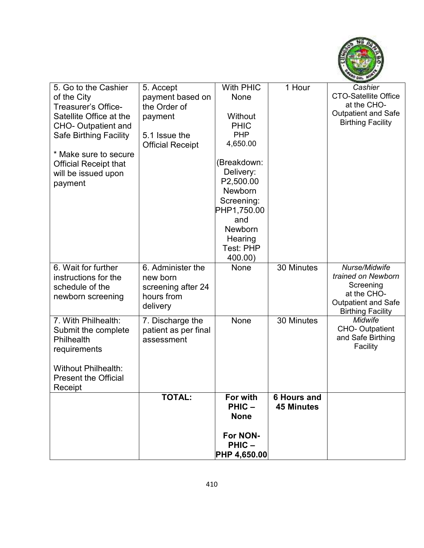

| 5. Go to the Cashier         | 5. Accept                                | With PHIC                 | 1 Hour             | Cashier                                                |
|------------------------------|------------------------------------------|---------------------------|--------------------|--------------------------------------------------------|
| of the City                  | payment based on                         | None                      |                    | <b>CTO-Satellite Office</b><br>at the CHO-             |
| Treasurer's Office-          | the Order of                             |                           |                    | <b>Outpatient and Safe</b>                             |
| Satellite Office at the      | payment                                  | Without                   |                    | <b>Birthing Facility</b>                               |
| <b>CHO- Outpatient and</b>   |                                          | <b>PHIC</b><br><b>PHP</b> |                    |                                                        |
| Safe Birthing Facility       | 5.1 Issue the<br><b>Official Receipt</b> | 4,650.00                  |                    |                                                        |
| * Make sure to secure        |                                          |                           |                    |                                                        |
| <b>Official Receipt that</b> |                                          | (Breakdown:               |                    |                                                        |
| will be issued upon          |                                          | Delivery:                 |                    |                                                        |
| payment                      |                                          | P2,500.00                 |                    |                                                        |
|                              |                                          | <b>Newborn</b>            |                    |                                                        |
|                              |                                          | Screening:                |                    |                                                        |
|                              |                                          | PHP1,750.00               |                    |                                                        |
|                              |                                          | and                       |                    |                                                        |
|                              |                                          | Newborn                   |                    |                                                        |
|                              |                                          | Hearing<br>Test: PHP      |                    |                                                        |
|                              |                                          | 400.00)                   |                    |                                                        |
| 6. Wait for further          | 6. Administer the                        | None                      | 30 Minutes         | Nurse/Midwife                                          |
| instructions for the         | new born                                 |                           |                    | trained on Newborn                                     |
| schedule of the              | screening after 24                       |                           |                    | Screening                                              |
| newborn screening            | hours from                               |                           |                    | at the CHO-                                            |
|                              | delivery                                 |                           |                    | <b>Outpatient and Safe</b><br><b>Birthing Facility</b> |
| 7. With Philhealth:          | 7. Discharge the                         | None                      | 30 Minutes         | <b>Midwife</b>                                         |
| Submit the complete          | patient as per final                     |                           |                    | <b>CHO-Outpatient</b>                                  |
| Philhealth                   | assessment                               |                           |                    | and Safe Birthing                                      |
| requirements                 |                                          |                           |                    | Facility                                               |
|                              |                                          |                           |                    |                                                        |
| <b>Without Philhealth:</b>   |                                          |                           |                    |                                                        |
| <b>Present the Official</b>  |                                          |                           |                    |                                                        |
| Receipt                      |                                          |                           |                    |                                                        |
|                              | <b>TOTAL:</b>                            | For with                  | <b>6 Hours and</b> |                                                        |
|                              |                                          | PHIC-                     | <b>45 Minutes</b>  |                                                        |
|                              |                                          | <b>None</b>               |                    |                                                        |
|                              |                                          | For NON-                  |                    |                                                        |
|                              |                                          | PHIC-                     |                    |                                                        |
|                              |                                          | $ $ PHP 4,650.00 $ $      |                    |                                                        |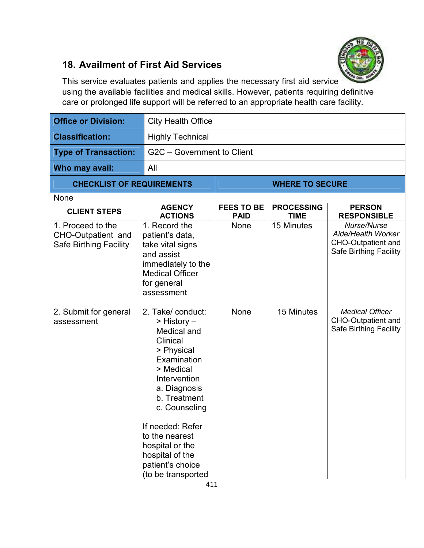

## **18. Availment of First Aid Services**

This service evaluates patients and applies the necessary first aid service using the available facilities and medical skills. However, patients requiring definitive care or prolonged life support will be referred to an appropriate health care facility.

| <b>Office or Division:</b>                                               | <b>City Health Office</b>                                                                                                                                                                                                                                                                    |                                  |                                  |                                                                                                 |  |
|--------------------------------------------------------------------------|----------------------------------------------------------------------------------------------------------------------------------------------------------------------------------------------------------------------------------------------------------------------------------------------|----------------------------------|----------------------------------|-------------------------------------------------------------------------------------------------|--|
| <b>Classification:</b>                                                   | <b>Highly Technical</b>                                                                                                                                                                                                                                                                      |                                  |                                  |                                                                                                 |  |
| <b>Type of Transaction:</b>                                              |                                                                                                                                                                                                                                                                                              | G2C - Government to Client       |                                  |                                                                                                 |  |
| Who may avail:                                                           | All                                                                                                                                                                                                                                                                                          |                                  |                                  |                                                                                                 |  |
| <b>CHECKLIST OF REQUIREMENTS</b>                                         |                                                                                                                                                                                                                                                                                              |                                  | <b>WHERE TO SECURE</b>           |                                                                                                 |  |
| None                                                                     |                                                                                                                                                                                                                                                                                              |                                  |                                  |                                                                                                 |  |
| <b>CLIENT STEPS</b>                                                      | <b>AGENCY</b><br><b>ACTIONS</b>                                                                                                                                                                                                                                                              | <b>FEES TO BE</b><br><b>PAID</b> | <b>PROCESSING</b><br><b>TIME</b> | <b>PERSON</b><br><b>RESPONSIBLE</b>                                                             |  |
| 1. Proceed to the<br>CHO-Outpatient and<br><b>Safe Birthing Facility</b> | 1. Record the<br>patient's data,<br>take vital signs<br>and assist<br>immediately to the<br><b>Medical Officer</b><br>for general<br>assessment                                                                                                                                              | <b>None</b>                      | 15 Minutes                       | Nurse/Nurse<br>Aide/Health Worker<br><b>CHO-Outpatient and</b><br><b>Safe Birthing Facility</b> |  |
| 2. Submit for general<br>assessment                                      | 2. Take/ conduct:<br>> History –<br>Medical and<br>Clinical<br>> Physical<br>Examination<br>> Medical<br>Intervention<br>a. Diagnosis<br>b. Treatment<br>c. Counseling<br>If needed: Refer<br>to the nearest<br>hospital or the<br>hospital of the<br>patient's choice<br>(to be transported | None                             | 15 Minutes                       | <b>Medical Officer</b><br><b>CHO-Outpatient and</b><br><b>Safe Birthing Facility</b>            |  |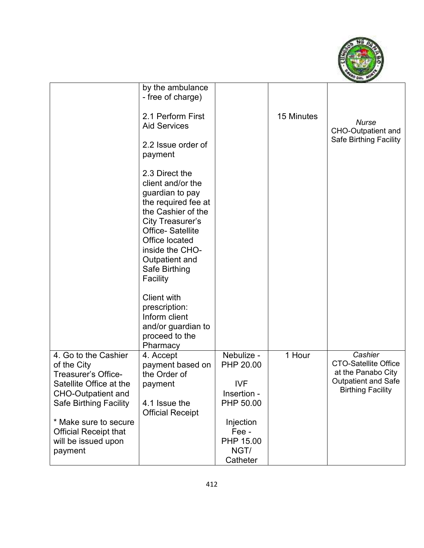

|                                                                                                                                                                                                                                                | by the ambulance<br>- free of charge)<br>2.1 Perform First<br><b>Aid Services</b><br>2.2 Issue order of<br>payment                                                                                                                                                                                                          |                                                                                                                          | 15 Minutes | <b>Nurse</b><br><b>CHO-Outpatient and</b><br>Safe Birthing Facility                                                    |
|------------------------------------------------------------------------------------------------------------------------------------------------------------------------------------------------------------------------------------------------|-----------------------------------------------------------------------------------------------------------------------------------------------------------------------------------------------------------------------------------------------------------------------------------------------------------------------------|--------------------------------------------------------------------------------------------------------------------------|------------|------------------------------------------------------------------------------------------------------------------------|
|                                                                                                                                                                                                                                                | 2.3 Direct the<br>client and/or the<br>guardian to pay<br>the required fee at<br>the Cashier of the<br><b>City Treasurer's</b><br><b>Office-Satellite</b><br>Office located<br>inside the CHO-<br>Outpatient and<br>Safe Birthing<br>Facility<br><b>Client with</b><br>prescription:<br>Inform client<br>and/or guardian to |                                                                                                                          |            |                                                                                                                        |
|                                                                                                                                                                                                                                                | proceed to the<br>Pharmacy                                                                                                                                                                                                                                                                                                  |                                                                                                                          |            |                                                                                                                        |
| 4. Go to the Cashier<br>of the City<br><b>Treasurer's Office-</b><br>Satellite Office at the<br><b>CHO-Outpatient and</b><br>Safe Birthing Facility<br>* Make sure to secure<br><b>Official Receipt that</b><br>will be issued upon<br>payment | 4. Accept<br>payment based on<br>the Order of<br>payment<br>4.1 Issue the<br><b>Official Receipt</b>                                                                                                                                                                                                                        | Nebulize -<br>PHP 20.00<br><b>IVF</b><br>Insertion -<br>PHP 50.00<br>Injection<br>Fee -<br>PHP 15.00<br>NGT/<br>Catheter | 1 Hour     | Cashier<br><b>CTO-Satellite Office</b><br>at the Panabo City<br><b>Outpatient and Safe</b><br><b>Birthing Facility</b> |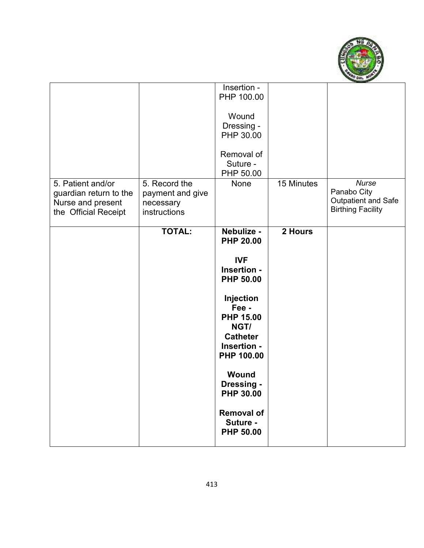

|                                                                                          |                                                                | Insertion -<br>PHP 100.00<br>Wound<br>Dressing -<br>PHP 30.00<br>Removal of<br>Suture -<br>PHP 50.00 |            | <b>Nurse</b>                                                          |
|------------------------------------------------------------------------------------------|----------------------------------------------------------------|------------------------------------------------------------------------------------------------------|------------|-----------------------------------------------------------------------|
| 5. Patient and/or<br>guardian return to the<br>Nurse and present<br>the Official Receipt | 5. Record the<br>payment and give<br>necessary<br>instructions | None                                                                                                 | 15 Minutes | Panabo City<br><b>Outpatient and Safe</b><br><b>Birthing Facility</b> |
|                                                                                          | <b>TOTAL:</b>                                                  | Nebulize -<br><b>PHP 20.00</b>                                                                       | 2 Hours    |                                                                       |
|                                                                                          |                                                                | <b>IVF</b><br>Insertion -<br><b>PHP 50.00</b>                                                        |            |                                                                       |
|                                                                                          |                                                                | Injection<br>Fee -<br><b>PHP 15.00</b><br>NGT/<br><b>Catheter</b><br>Insertion -<br>PHP 100.00       |            |                                                                       |
|                                                                                          |                                                                | Wound<br>Dressing -<br><b>PHP 30.00</b>                                                              |            |                                                                       |
|                                                                                          |                                                                | <b>Removal of</b><br>Suture -<br><b>PHP 50.00</b>                                                    |            |                                                                       |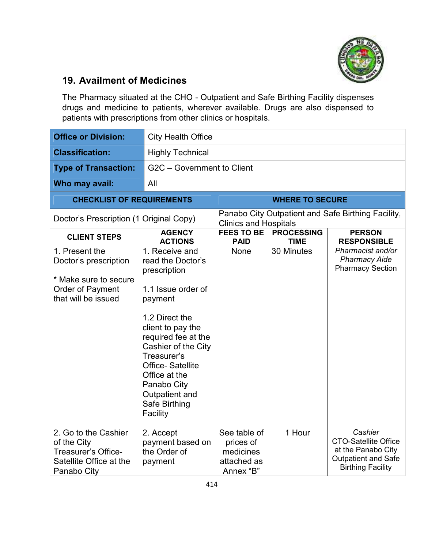

#### **19. Availment of Medicines**

The Pharmacy situated at the CHO - Outpatient and Safe Birthing Facility dispenses drugs and medicine to patients, wherever available. Drugs are also dispensed to patients with prescriptions from other clinics or hospitals.

| <b>Office or Division:</b>                                                                                         | <b>City Health Office</b>                                                                                                                                                                                                                                                                          |                                                                    |                                  |                                                                                                                        |  |
|--------------------------------------------------------------------------------------------------------------------|----------------------------------------------------------------------------------------------------------------------------------------------------------------------------------------------------------------------------------------------------------------------------------------------------|--------------------------------------------------------------------|----------------------------------|------------------------------------------------------------------------------------------------------------------------|--|
| <b>Classification:</b>                                                                                             | <b>Highly Technical</b>                                                                                                                                                                                                                                                                            |                                                                    |                                  |                                                                                                                        |  |
| <b>Type of Transaction:</b>                                                                                        | G2C - Government to Client                                                                                                                                                                                                                                                                         |                                                                    |                                  |                                                                                                                        |  |
| Who may avail:                                                                                                     | All                                                                                                                                                                                                                                                                                                |                                                                    |                                  |                                                                                                                        |  |
| <b>CHECKLIST OF REQUIREMENTS</b>                                                                                   |                                                                                                                                                                                                                                                                                                    |                                                                    | <b>WHERE TO SECURE</b>           |                                                                                                                        |  |
| Doctor's Prescription (1 Original Copy)                                                                            |                                                                                                                                                                                                                                                                                                    | <b>Clinics and Hospitals</b>                                       |                                  | Panabo City Outpatient and Safe Birthing Facility,                                                                     |  |
| <b>CLIENT STEPS</b>                                                                                                | <b>AGENCY</b><br><b>ACTIONS</b>                                                                                                                                                                                                                                                                    | <b>FEES TO BE</b><br><b>PAID</b>                                   | <b>PROCESSING</b><br><b>TIME</b> | <b>PERSON</b><br><b>RESPONSIBLE</b>                                                                                    |  |
| 1. Present the<br>Doctor's prescription<br>* Make sure to secure<br><b>Order of Payment</b><br>that will be issued | 1. Receive and<br>read the Doctor's<br>prescription<br>1.1 Issue order of<br>payment<br>1.2 Direct the<br>client to pay the<br>required fee at the<br>Cashier of the City<br>Treasurer's<br><b>Office-Satellite</b><br>Office at the<br>Panabo City<br>Outpatient and<br>Safe Birthing<br>Facility | None                                                               | 30 Minutes                       | Pharmacist and/or<br><b>Pharmacy Aide</b><br><b>Pharmacy Section</b>                                                   |  |
| 2. Go to the Cashier<br>of the City<br>Treasurer's Office-<br>Satellite Office at the<br>Panabo City               | 2. Accept<br>payment based on<br>the Order of<br>payment                                                                                                                                                                                                                                           | See table of<br>prices of<br>medicines<br>attached as<br>Annex "B" | 1 Hour                           | Cashier<br><b>CTO-Satellite Office</b><br>at the Panabo City<br><b>Outpatient and Safe</b><br><b>Birthing Facility</b> |  |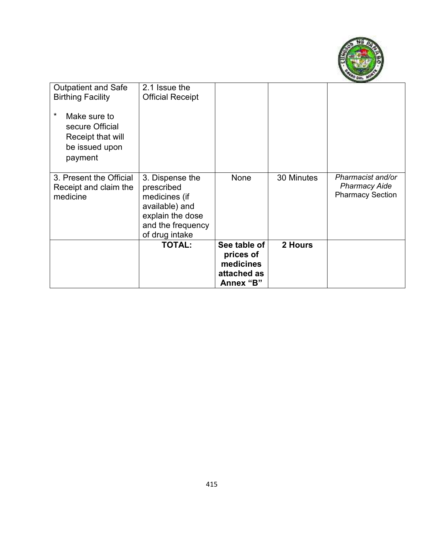

| <b>Outpatient and Safe</b><br><b>Birthing Facility</b><br>$^\star$<br>Make sure to<br>secure Official<br>Receipt that will<br>be issued upon<br>payment | 2.1 Issue the<br><b>Official Receipt</b>                                                                                    |                                                                    |            |                                                                      |
|---------------------------------------------------------------------------------------------------------------------------------------------------------|-----------------------------------------------------------------------------------------------------------------------------|--------------------------------------------------------------------|------------|----------------------------------------------------------------------|
| 3. Present the Official<br>Receipt and claim the<br>medicine                                                                                            | 3. Dispense the<br>prescribed<br>medicines (if<br>available) and<br>explain the dose<br>and the frequency<br>of drug intake | None                                                               | 30 Minutes | Pharmacist and/or<br><b>Pharmacy Aide</b><br><b>Pharmacy Section</b> |
|                                                                                                                                                         | <b>TOTAL:</b>                                                                                                               | See table of<br>prices of<br>medicines<br>attached as<br>Annex "B" | 2 Hours    |                                                                      |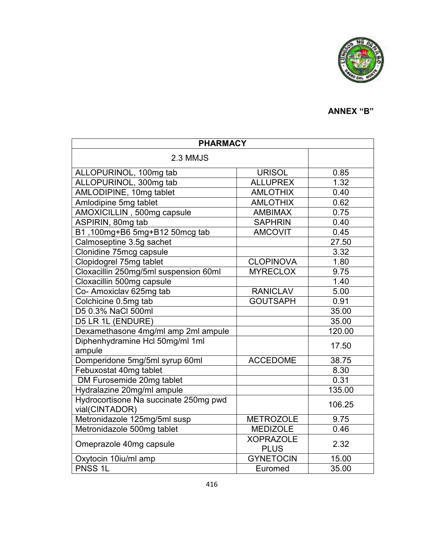

# **ANNEX "B"**

| <b>PHARMACY</b>                                         |                                 |        |  |  |
|---------------------------------------------------------|---------------------------------|--------|--|--|
| 2.3 MMJS                                                |                                 |        |  |  |
| ALLOPURINOL, 100mg tab                                  | <b>URISOL</b>                   | 0.85   |  |  |
| ALLOPURINOL, 300mg tab                                  | <b>ALLUPREX</b>                 | 1.32   |  |  |
| AMLODIPINE, 10mg tablet                                 | <b>AMLOTHIX</b>                 | 0.40   |  |  |
| Amlodipine 5mg tablet                                   | <b>AMLOTHIX</b>                 | 0.62   |  |  |
| AMOXICILLIN, 500mg capsule                              | <b>AMBIMAX</b>                  | 0.75   |  |  |
| ASPIRIN, 80mg tab                                       | <b>SAPHRIN</b>                  | 0.40   |  |  |
| B1,100mg+B6 5mg+B12 50mcg tab                           | <b>AMCOVIT</b>                  | 0.45   |  |  |
| Calmoseptine 3.5g sachet                                |                                 | 27.50  |  |  |
| Clonidine 75mcg capsule                                 |                                 | 3.32   |  |  |
| Clopidogrel 75mg tablet                                 | <b>CLOPINOVA</b>                | 1.80   |  |  |
| Cloxacillin 250mg/5ml suspension 60ml                   | <b>MYRECLOX</b>                 | 9.75   |  |  |
| Cloxacillin 500mg capsule                               |                                 | 1.40   |  |  |
| Co- Amoxiclav 625mg tab                                 | <b>RANICLAV</b>                 | 5.00   |  |  |
| Colchicine 0.5mg tab                                    | <b>GOUTSAPH</b>                 | 0.91   |  |  |
| D5 0.3% NaCl 500ml                                      |                                 | 35.00  |  |  |
| D5 LR 1L (ENDURE)                                       |                                 | 35.00  |  |  |
| Dexamethasone 4mg/ml amp 2ml ampule                     |                                 | 120.00 |  |  |
| Diphenhydramine Hcl 50mg/ml 1ml<br>ampule               |                                 | 17.50  |  |  |
| Domperidone 5mg/5ml syrup 60ml                          | <b>ACCEDOME</b>                 | 38.75  |  |  |
| Febuxostat 40mg tablet                                  |                                 | 8.30   |  |  |
| DM Furosemide 20mg tablet                               |                                 | 0.31   |  |  |
| Hydralazine 20mg/ml ampule                              |                                 | 135.00 |  |  |
| Hydrocortisone Na succinate 250mg pwd<br>vial(CINTADOR) |                                 | 106.25 |  |  |
| Metronidazole 125mg/5ml susp                            | <b>METROZOLE</b>                | 9.75   |  |  |
| Metronidazole 500mg tablet                              | <b>MEDIZOLE</b>                 | 0.46   |  |  |
| Omeprazole 40mg capsule                                 | <b>XOPRAZOLE</b><br><b>PLUS</b> | 2.32   |  |  |
| Oxytocin 10iu/ml amp                                    | <b>GYNETOCIN</b>                | 15.00  |  |  |
| PNSS <sub>1L</sub>                                      | Euromed                         | 35.00  |  |  |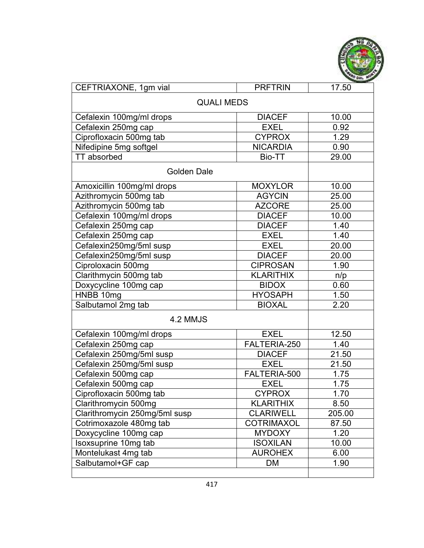

| CEFTRIAXONE, 1gm vial         | <b>PRFTRIN</b>    | 17.50  |  |  |  |
|-------------------------------|-------------------|--------|--|--|--|
| <b>QUALI MEDS</b>             |                   |        |  |  |  |
| Cefalexin 100mg/ml drops      | <b>DIACEF</b>     | 10.00  |  |  |  |
| Cefalexin 250mg cap           | <b>EXEL</b>       | 0.92   |  |  |  |
| Ciprofloxacin 500mg tab       | <b>CYPROX</b>     | 1.29   |  |  |  |
| Nifedipine 5mg softgel        | <b>NICARDIA</b>   | 0.90   |  |  |  |
| TT absorbed                   | Bio-TT            | 29.00  |  |  |  |
| <b>Golden Dale</b>            |                   |        |  |  |  |
| Amoxicillin 100mg/ml drops    | <b>MOXYLOR</b>    | 10.00  |  |  |  |
| Azithromycin 500mg tab        | <b>AGYCIN</b>     | 25.00  |  |  |  |
| Azithromycin 500mg tab        | <b>AZCORE</b>     | 25.00  |  |  |  |
| Cefalexin 100mg/ml drops      | <b>DIACEF</b>     | 10.00  |  |  |  |
| Cefalexin 250mg cap           | <b>DIACEF</b>     | 1.40   |  |  |  |
| Cefalexin 250mg cap           | <b>EXEL</b>       | 1.40   |  |  |  |
| Cefalexin250mg/5ml susp       | <b>EXEL</b>       | 20.00  |  |  |  |
| Cefalexin250mg/5ml susp       | <b>DIACEF</b>     | 20.00  |  |  |  |
| Ciproloxacin 500mg            | <b>CIPROSAN</b>   | 1.90   |  |  |  |
| Clarithmycin 500mg tab        | <b>KLARITHIX</b>  | n/p    |  |  |  |
| Doxycycline 100mg cap         | <b>BIDOX</b>      | 0.60   |  |  |  |
| HNBB 10mg                     | <b>HYOSAPH</b>    | 1.50   |  |  |  |
| Salbutamol 2mg tab            | <b>BIOXAL</b>     | 2.20   |  |  |  |
| 4.2 MMJS                      |                   |        |  |  |  |
| Cefalexin 100mg/ml drops      | <b>EXEL</b>       | 12.50  |  |  |  |
| Cefalexin 250mg cap           | FALTERIA-250      | 1.40   |  |  |  |
| Cefalexin 250mg/5ml susp      | <b>DIACEF</b>     | 21.50  |  |  |  |
| Cefalexin 250mg/5ml susp      | <b>EXEL</b>       | 21.50  |  |  |  |
| Cefalexin 500mg cap           | FALTERIA-500      | 1.75   |  |  |  |
| Cefalexin 500mg cap           | <b>EXEL</b>       | 1.75   |  |  |  |
| Ciprofloxacin 500mg tab       | <b>CYPROX</b>     | 1.70   |  |  |  |
| Clarithromycin 500mg          | <b>KLARITHIX</b>  | 8.50   |  |  |  |
| Clarithromycin 250mg/5ml susp | <b>CLARIWELL</b>  | 205.00 |  |  |  |
| Cotrimoxazole 480mg tab       | <b>COTRIMAXOL</b> | 87.50  |  |  |  |
| Doxycycline 100mg cap         | <b>MYDOXY</b>     | 1.20   |  |  |  |
| Isoxsuprine 10mg tab          | <b>ISOXILAN</b>   | 10.00  |  |  |  |
| Montelukast 4mg tab           | <b>AUROHEX</b>    | 6.00   |  |  |  |
| Salbutamol+GF cap             | DM                | 1.90   |  |  |  |
|                               |                   |        |  |  |  |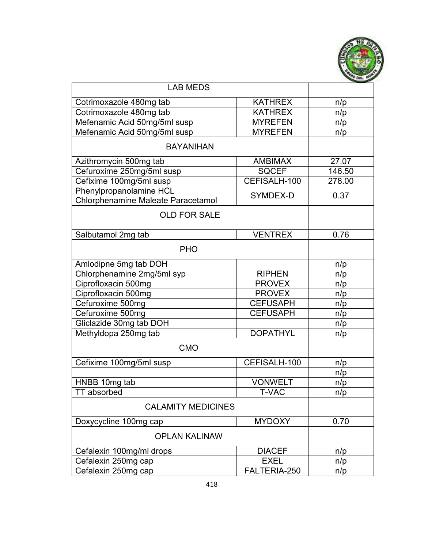

| <b>LAB MEDS</b>                                               |                 |        |
|---------------------------------------------------------------|-----------------|--------|
| Cotrimoxazole 480mg tab                                       | <b>KATHREX</b>  | n/p    |
| Cotrimoxazole 480mg tab                                       | <b>KATHREX</b>  | n/p    |
| Mefenamic Acid 50mg/5ml susp                                  | <b>MYREFEN</b>  | n/p    |
| Mefenamic Acid 50mg/5ml susp                                  | <b>MYREFEN</b>  | n/p    |
| <b>BAYANIHAN</b>                                              |                 |        |
| Azithromycin 500mg tab                                        | <b>AMBIMAX</b>  | 27.07  |
| Cefuroxime 250mg/5ml susp                                     | <b>SQCEF</b>    | 146.50 |
| Cefixime 100mg/5ml susp                                       | CEFISALH-100    | 278.00 |
| Phenylpropanolamine HCL<br>Chlorphenamine Maleate Paracetamol | SYMDEX-D        | 0.37   |
| <b>OLD FOR SALE</b>                                           |                 |        |
| Salbutamol 2mg tab                                            | <b>VENTREX</b>  | 0.76   |
| <b>PHO</b>                                                    |                 |        |
| Amlodipne 5mg tab DOH                                         |                 | n/p    |
| Chlorphenamine 2mg/5ml syp                                    | <b>RIPHEN</b>   | n/p    |
| Ciprofloxacin 500mg                                           | <b>PROVEX</b>   | n/p    |
| Ciprofloxacin 500mg                                           | <b>PROVEX</b>   | n/p    |
| Cefuroxime 500mg                                              | <b>CEFUSAPH</b> | n/p    |
| Cefuroxime 500mg                                              | <b>CEFUSAPH</b> | n/p    |
| Gliclazide 30mg tab DOH                                       |                 | n/p    |
| Methyldopa 250mg tab<br><b>DOPATHYL</b>                       |                 | n/p    |
| <b>CMO</b>                                                    |                 |        |
| Cefixime 100mg/5ml susp                                       | CEFISALH-100    | n/p    |
|                                                               |                 | n/p    |
| HNBB 10mg tab                                                 | <b>VONWELT</b>  | n/p    |
| <b>TT</b> absorbed                                            | T-VAC           | n/p    |
| <b>CALAMITY MEDICINES</b>                                     |                 |        |
| Doxycycline 100mg cap                                         | <b>MYDOXY</b>   | 0.70   |
| <b>OPLAN KALINAW</b>                                          |                 |        |
| Cefalexin 100mg/ml drops                                      | <b>DIACEF</b>   | n/p    |
| Cefalexin 250mg cap                                           | <b>EXEL</b>     | n/p    |
| Cefalexin 250mg cap                                           | FALTERIA-250    | n/p    |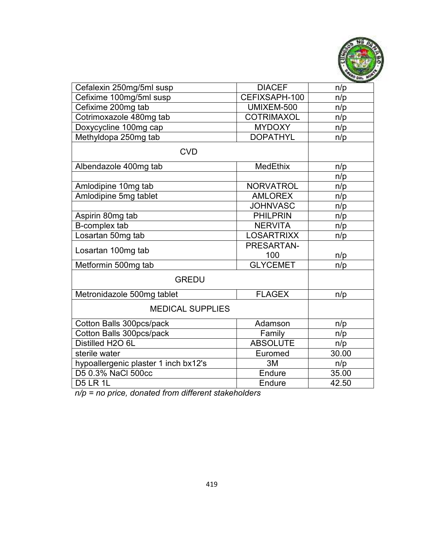

| Cefalexin 250mg/5ml susp             | <b>DIACEF</b>     | n/p   |
|--------------------------------------|-------------------|-------|
| Cefixime 100mg/5ml susp              | CEFIXSAPH-100     | n/p   |
| Cefixime 200mg tab                   | UMIXEM-500        | n/p   |
| Cotrimoxazole 480mg tab              | <b>COTRIMAXOL</b> | n/p   |
| Doxycycline 100mg cap                | <b>MYDOXY</b>     | n/p   |
| Methyldopa 250mg tab                 | <b>DOPATHYL</b>   | n/p   |
| <b>CVD</b>                           |                   |       |
| Albendazole 400mg tab                | MedEthix          | n/p   |
|                                      |                   | n/p   |
| Amlodipine 10mg tab                  | <b>NORVATROL</b>  | n/p   |
| Amlodipine 5mg tablet                | <b>AMLOREX</b>    | n/p   |
|                                      | <b>JOHNVASC</b>   | n/p   |
| Aspirin 80mg tab                     | <b>PHILPRIN</b>   | n/p   |
| B-complex tab                        | <b>NERVITA</b>    | n/p   |
| Losartan 50mg tab                    | <b>LOSARTRIXX</b> | n/p   |
| Losartan 100mg tab                   | PRESARTAN-        |       |
|                                      | 100               | n/p   |
| Metformin 500mg tab                  | <b>GLYCEMET</b>   | n/p   |
| <b>GREDU</b>                         |                   |       |
| Metronidazole 500mg tablet           | <b>FLAGEX</b>     | n/p   |
| <b>MEDICAL SUPPLIES</b>              |                   |       |
| Cotton Balls 300pcs/pack             | Adamson           | n/p   |
| Cotton Balls 300pcs/pack             | Family            | n/p   |
| Distilled H2O 6L                     | <b>ABSOLUTE</b>   | n/p   |
| sterile water                        | Euromed           | 30.00 |
| hypoallergenic plaster 1 inch bx12's | 3M                | n/p   |
| D5 0.3% NaCl 500cc                   | Endure            | 35.00 |
| <b>D5 LR 1L</b>                      | Endure            | 42.50 |

*n/p = no price, donated from different stakeholders*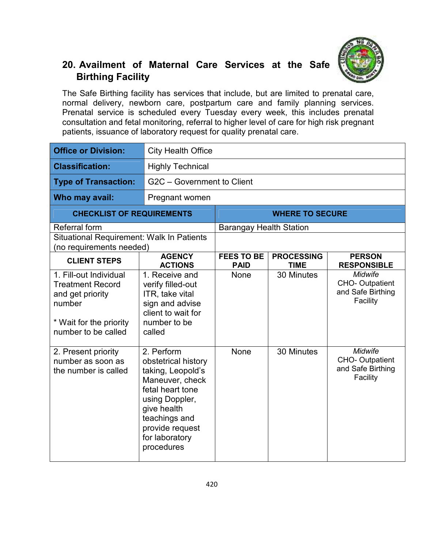

## **20. Availment of Maternal Care Services at the Safe Birthing Facility**

The Safe Birthing facility has services that include, but are limited to prenatal care, normal delivery, newborn care, postpartum care and family planning services. Prenatal service is scheduled every Tuesday every week, this includes prenatal consultation and fetal monitoring, referral to higher level of care for high risk pregnant patients, issuance of laboratory request for quality prenatal care.

| <b>Office or Division:</b>                                                                                                        | <b>City Health Office</b>                                                                                                                                                                          |                                  |                                  |                                                                   |  |
|-----------------------------------------------------------------------------------------------------------------------------------|----------------------------------------------------------------------------------------------------------------------------------------------------------------------------------------------------|----------------------------------|----------------------------------|-------------------------------------------------------------------|--|
| <b>Classification:</b>                                                                                                            | <b>Highly Technical</b>                                                                                                                                                                            |                                  |                                  |                                                                   |  |
| <b>Type of Transaction:</b>                                                                                                       |                                                                                                                                                                                                    | G2C - Government to Client       |                                  |                                                                   |  |
| Who may avail:                                                                                                                    | Pregnant women                                                                                                                                                                                     |                                  |                                  |                                                                   |  |
| <b>CHECKLIST OF REQUIREMENTS</b>                                                                                                  |                                                                                                                                                                                                    |                                  | <b>WHERE TO SECURE</b>           |                                                                   |  |
| Referral form                                                                                                                     |                                                                                                                                                                                                    | <b>Barangay Health Station</b>   |                                  |                                                                   |  |
| Situational Requirement: Walk In Patients<br>(no requirements needed)                                                             |                                                                                                                                                                                                    |                                  |                                  |                                                                   |  |
| <b>CLIENT STEPS</b>                                                                                                               | <b>AGENCY</b><br><b>ACTIONS</b>                                                                                                                                                                    | <b>FEES TO BE</b><br><b>PAID</b> | <b>PROCESSING</b><br><b>TIME</b> | <b>PERSON</b><br><b>RESPONSIBLE</b>                               |  |
| 1. Fill-out Individual<br><b>Treatment Record</b><br>and get priority<br>number<br>* Wait for the priority<br>number to be called | 1. Receive and<br>verify filled-out<br>ITR, take vital<br>sign and advise<br>client to wait for<br>number to be<br>called                                                                          | None                             | 30 Minutes                       | <b>Midwife</b><br>CHO-Outpatient<br>and Safe Birthing<br>Facility |  |
| 2. Present priority<br>number as soon as<br>the number is called                                                                  | 2. Perform<br>obstetrical history<br>taking, Leopold's<br>Maneuver, check<br>fetal heart tone<br>using Doppler,<br>give health<br>teachings and<br>provide request<br>for laboratory<br>procedures | None                             | 30 Minutes                       | <b>Midwife</b><br>CHO-Outpatient<br>and Safe Birthing<br>Facility |  |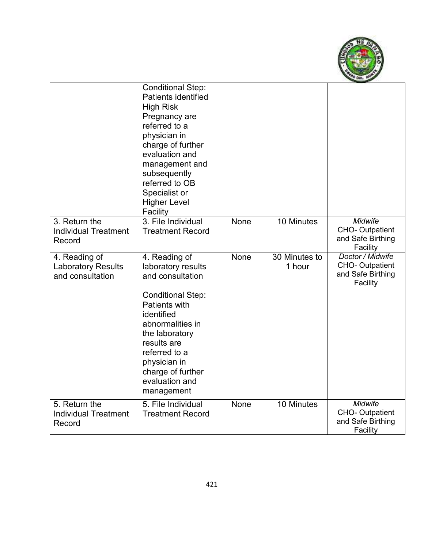

|                                                                | <b>Conditional Step:</b><br><b>Patients identified</b><br><b>High Risk</b><br>Pregnancy are<br>referred to a<br>physician in<br>charge of further<br>evaluation and<br>management and<br>subsequently<br>referred to OB<br>Specialist or<br><b>Higher Level</b><br>Facility |      |                         |                                                                     |
|----------------------------------------------------------------|-----------------------------------------------------------------------------------------------------------------------------------------------------------------------------------------------------------------------------------------------------------------------------|------|-------------------------|---------------------------------------------------------------------|
| 3. Return the<br><b>Individual Treatment</b><br>Record         | 3. File Individual<br><b>Treatment Record</b>                                                                                                                                                                                                                               | None | 10 Minutes              | Midwife<br><b>CHO-Outpatient</b><br>and Safe Birthing<br>Facility   |
| 4. Reading of<br><b>Laboratory Results</b><br>and consultation | 4. Reading of<br>laboratory results<br>and consultation<br><b>Conditional Step:</b><br><b>Patients with</b><br>identified<br>abnormalities in<br>the laboratory<br>results are<br>referred to a<br>physician in<br>charge of further<br>evaluation and<br>management        | None | 30 Minutes to<br>1 hour | Doctor / Midwife<br>CHO-Outpatient<br>and Safe Birthing<br>Facility |
| 5. Return the<br><b>Individual Treatment</b><br>Record         | 5. File Individual<br><b>Treatment Record</b>                                                                                                                                                                                                                               | None | 10 Minutes              | Midwife<br><b>CHO-Outpatient</b><br>and Safe Birthing<br>Facility   |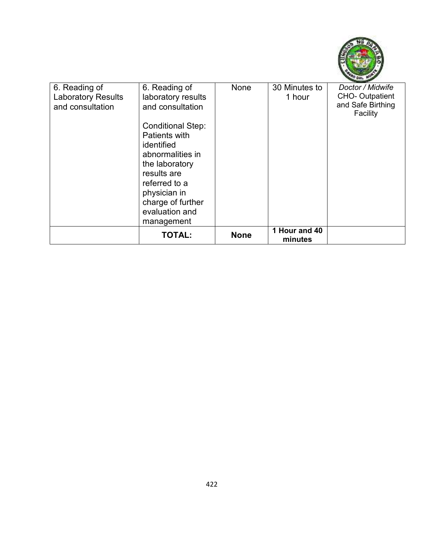

| 6. Reading of             | 6. Reading of            | <b>None</b> | 30 Minutes to            | Doctor / Midwife      |
|---------------------------|--------------------------|-------------|--------------------------|-----------------------|
| <b>Laboratory Results</b> | laboratory results       |             | 1 hour                   | <b>CHO-Outpatient</b> |
| and consultation          | and consultation         |             |                          | and Safe Birthing     |
|                           |                          |             |                          | Facility              |
|                           | <b>Conditional Step:</b> |             |                          |                       |
|                           | Patients with            |             |                          |                       |
|                           | identified               |             |                          |                       |
|                           | abnormalities in         |             |                          |                       |
|                           | the laboratory           |             |                          |                       |
|                           | results are              |             |                          |                       |
|                           | referred to a            |             |                          |                       |
|                           | physician in             |             |                          |                       |
|                           | charge of further        |             |                          |                       |
|                           | evaluation and           |             |                          |                       |
|                           | management               |             |                          |                       |
|                           | <b>TOTAL:</b>            | <b>None</b> | 1 Hour and 40<br>minutes |                       |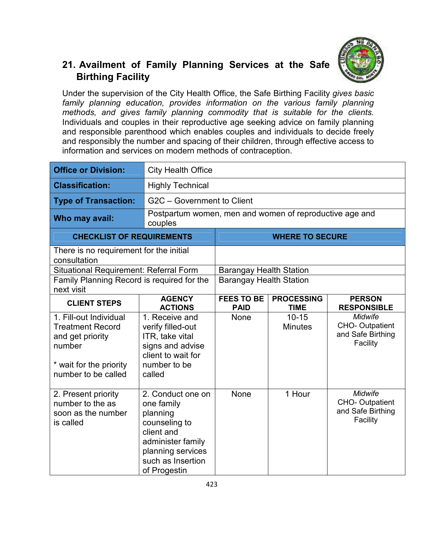

## **21. Availment of Family Planning Services at the Safe Birthing Facility**

Under the supervision of the City Health Office, the Safe Birthing Facility *gives basic*  family planning education, provides information on the various family planning *methods, and gives family planning commodity that is suitable for the clients.*  Individuals and couples in their reproductive age seeking advice on family planning and responsible parenthood which enables couples and individuals to decide freely and responsibly the number and spacing of their children, through effective access to information and services on modern methods of contraception.

| <b>Office or Division:</b>                                                                                                        | <b>City Health Office</b>                                                                                                                                 |                                  |                                  |                                                                          |  |
|-----------------------------------------------------------------------------------------------------------------------------------|-----------------------------------------------------------------------------------------------------------------------------------------------------------|----------------------------------|----------------------------------|--------------------------------------------------------------------------|--|
| <b>Classification:</b>                                                                                                            | <b>Highly Technical</b>                                                                                                                                   |                                  |                                  |                                                                          |  |
| <b>Type of Transaction:</b>                                                                                                       | G2C - Government to Client                                                                                                                                |                                  |                                  |                                                                          |  |
| Who may avail:                                                                                                                    | Postpartum women, men and women of reproductive age and<br>couples                                                                                        |                                  |                                  |                                                                          |  |
| <b>CHECKLIST OF REQUIREMENTS</b>                                                                                                  |                                                                                                                                                           | <b>WHERE TO SECURE</b>           |                                  |                                                                          |  |
| There is no requirement for the initial<br>consultation                                                                           |                                                                                                                                                           |                                  |                                  |                                                                          |  |
|                                                                                                                                   | Situational Requirement: Referral Form                                                                                                                    |                                  | <b>Barangay Health Station</b>   |                                                                          |  |
| Family Planning Record is required for the<br>next visit                                                                          |                                                                                                                                                           | <b>Barangay Health Station</b>   |                                  |                                                                          |  |
| <b>CLIENT STEPS</b>                                                                                                               | <b>AGENCY</b><br><b>ACTIONS</b>                                                                                                                           | <b>FEES TO BE</b><br><b>PAID</b> | <b>PROCESSING</b><br><b>TIME</b> | <b>PERSON</b><br><b>RESPONSIBLE</b>                                      |  |
| 1. Fill-out Individual<br><b>Treatment Record</b><br>and get priority<br>number<br>* wait for the priority<br>number to be called | 1. Receive and<br>verify filled-out<br>ITR, take vital<br>signs and advise<br>client to wait for<br>number to be<br>called                                | <b>None</b>                      | $10 - 15$<br><b>Minutes</b>      | <b>Midwife</b><br><b>CHO-Outpatient</b><br>and Safe Birthing<br>Facility |  |
| 2. Present priority<br>number to the as<br>soon as the number<br>is called                                                        | 2. Conduct one on<br>one family<br>planning<br>counseling to<br>client and<br>administer family<br>planning services<br>such as Insertion<br>of Progestin | None                             | 1 Hour                           | <b>Midwife</b><br><b>CHO-Outpatient</b><br>and Safe Birthing<br>Facility |  |